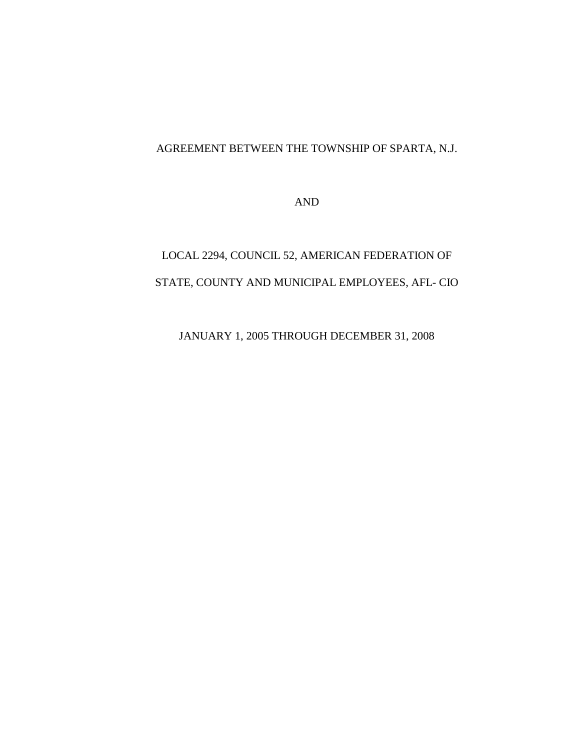# AGREEMENT BETWEEN THE TOWNSHIP OF SPARTA, N.J.

AND

# LOCAL 2294, COUNCIL 52, AMERICAN FEDERATION OF STATE, COUNTY AND MUNICIPAL EMPLOYEES, AFL- CIO

JANUARY 1, 2005 THROUGH DECEMBER 31, 2008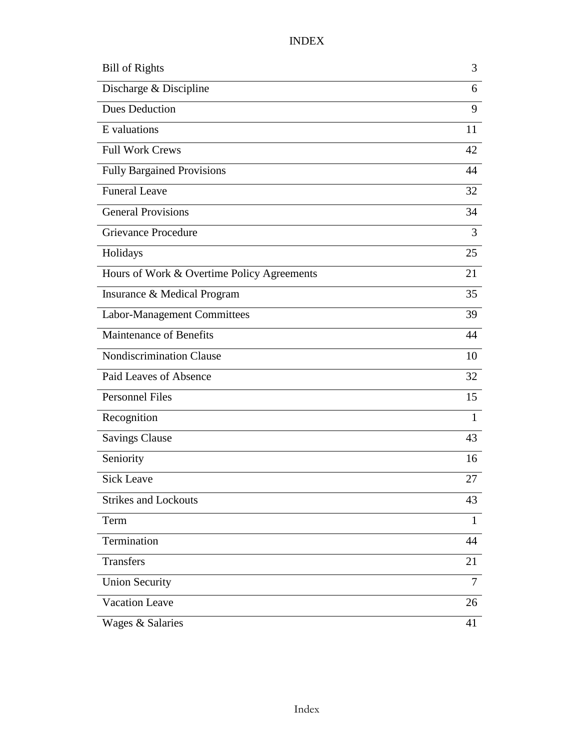# INDEX

| <b>Bill of Rights</b>                      | 3              |
|--------------------------------------------|----------------|
| Discharge & Discipline                     | 6              |
| <b>Dues Deduction</b>                      | 9              |
| E valuations                               | 11             |
| <b>Full Work Crews</b>                     | 42             |
| <b>Fully Bargained Provisions</b>          | 44             |
| <b>Funeral Leave</b>                       | 32             |
| <b>General Provisions</b>                  | 34             |
| <b>Grievance Procedure</b>                 | 3              |
| Holidays                                   | 25             |
| Hours of Work & Overtime Policy Agreements | 21             |
| Insurance & Medical Program                | 35             |
| Labor-Management Committees                | 39             |
| <b>Maintenance of Benefits</b>             | 44             |
| <b>Nondiscrimination Clause</b>            | 10             |
| Paid Leaves of Absence                     | 32             |
| <b>Personnel Files</b>                     | 15             |
| Recognition                                | $\mathbf{1}$   |
| <b>Savings Clause</b>                      | 43             |
| Seniority                                  | 16             |
| <b>Sick Leave</b>                          | 27             |
| <b>Strikes and Lockouts</b>                | 43             |
| Term                                       | $\mathbf{1}$   |
| Termination                                | 44             |
| Transfers                                  | 21             |
| <b>Union Security</b>                      | $\overline{7}$ |
| <b>Vacation Leave</b>                      | 26             |
| Wages & Salaries                           | 41             |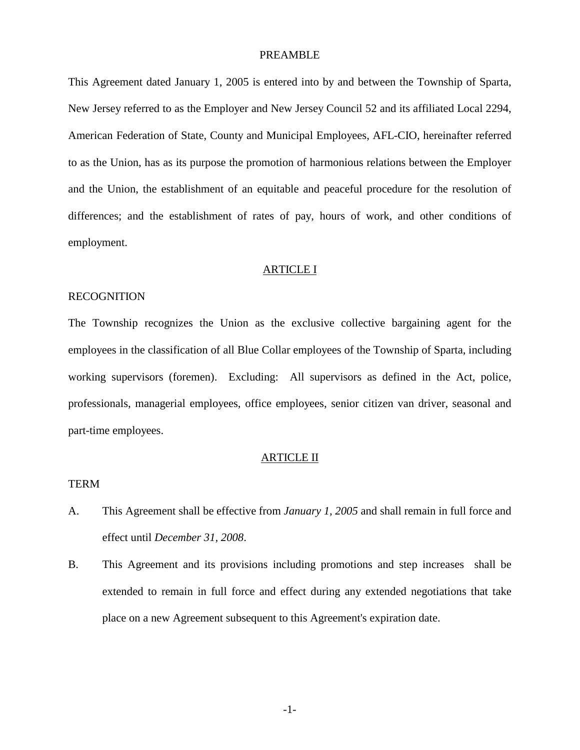#### PREAMBLE

This Agreement dated January 1, 2005 is entered into by and between the Township of Sparta, New Jersey referred to as the Employer and New Jersey Council 52 and its affiliated Local 2294, American Federation of State, County and Municipal Employees, AFL-CIO, hereinafter referred to as the Union, has as its purpose the promotion of harmonious relations between the Employer and the Union, the establishment of an equitable and peaceful procedure for the resolution of differences; and the establishment of rates of pay, hours of work, and other conditions of employment.

#### ARTICLE I

# RECOGNITION

The Township recognizes the Union as the exclusive collective bargaining agent for the employees in the classification of all Blue Collar employees of the Township of Sparta, including working supervisors (foremen). Excluding: All supervisors as defined in the Act, police, professionals, managerial employees, office employees, senior citizen van driver, seasonal and part-time employees.

#### ARTICLE II

# TERM

- A. This Agreement shall be effective from *January 1, 2005* and shall remain in full force and effect until *December 31, 2008*.
- B. This Agreement and its provisions including promotions and step increases shall be extended to remain in full force and effect during any extended negotiations that take place on a new Agreement subsequent to this Agreement's expiration date.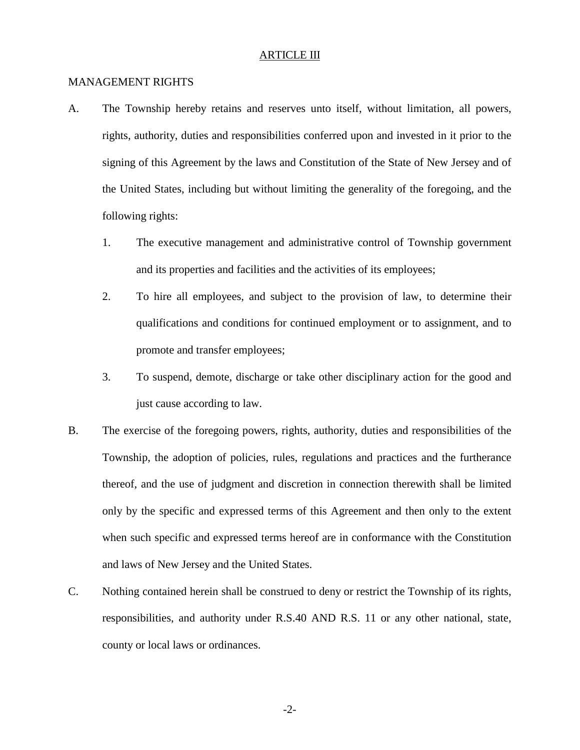#### ARTICLE III

#### MANAGEMENT RIGHTS

- A. The Township hereby retains and reserves unto itself, without limitation, all powers, rights, authority, duties and responsibilities conferred upon and invested in it prior to the signing of this Agreement by the laws and Constitution of the State of New Jersey and of the United States, including but without limiting the generality of the foregoing, and the following rights:
	- 1. The executive management and administrative control of Township government and its properties and facilities and the activities of its employees;
	- 2. To hire all employees, and subject to the provision of law, to determine their qualifications and conditions for continued employment or to assignment, and to promote and transfer employees;
	- 3. To suspend, demote, discharge or take other disciplinary action for the good and just cause according to law.
- B. The exercise of the foregoing powers, rights, authority, duties and responsibilities of the Township, the adoption of policies, rules, regulations and practices and the furtherance thereof, and the use of judgment and discretion in connection therewith shall be limited only by the specific and expressed terms of this Agreement and then only to the extent when such specific and expressed terms hereof are in conformance with the Constitution and laws of New Jersey and the United States.
- C. Nothing contained herein shall be construed to deny or restrict the Township of its rights, responsibilities, and authority under R.S.40 AND R.S. 11 or any other national, state, county or local laws or ordinances.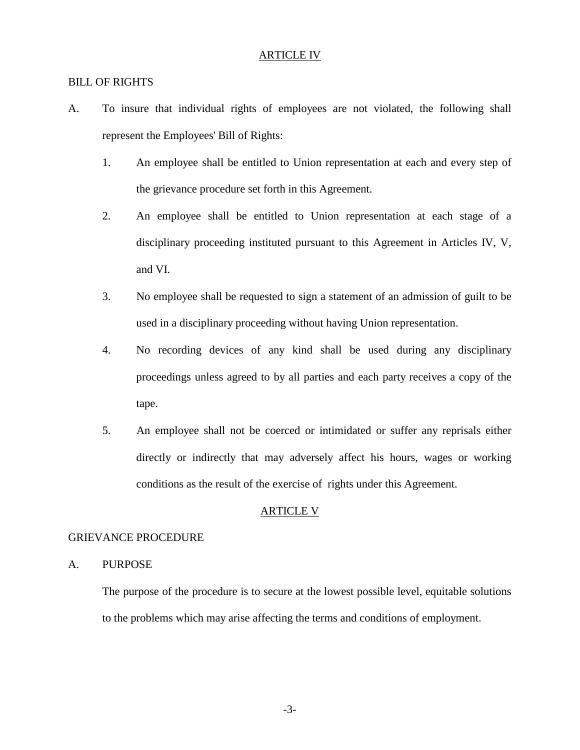## ARTICLE IV

# BILL OF RIGHTS

- A. To insure that individual rights of employees are not violated, the following shall represent the Employees' Bill of Rights:
	- 1. An employee shall be entitled to Union representation at each and every step of the grievance procedure set forth in this Agreement.
	- 2. An employee shall be entitled to Union representation at each stage of a disciplinary proceeding instituted pursuant to this Agreement in Articles IV, V, and VI.
	- 3. No employee shall be requested to sign a statement of an admission of guilt to be used in a disciplinary proceeding without having Union representation.
	- 4. No recording devices of any kind shall be used during any disciplinary proceedings unless agreed to by all parties and each party receives a copy of the tape.
	- 5. An employee shall not be coerced or intimidated or suffer any reprisals either directly or indirectly that may adversely affect his hours, wages or working conditions as the result of the exercise of rights under this Agreement.

#### ARTICLE V

#### GRIEVANCE PROCEDURE

# A. PURPOSE

 The purpose of the procedure is to secure at the lowest possible level, equitable solutions to the problems which may arise affecting the terms and conditions of employment.

-3-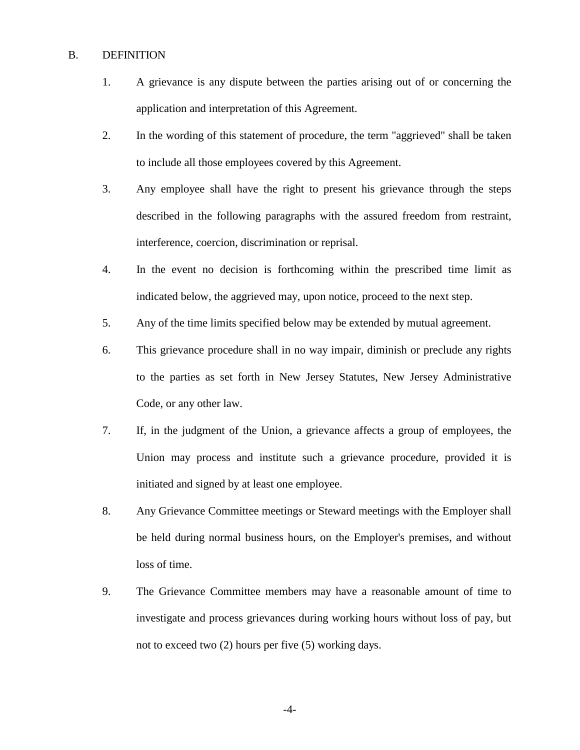# B. DEFINITION

- 1. A grievance is any dispute between the parties arising out of or concerning the application and interpretation of this Agreement.
- 2. In the wording of this statement of procedure, the term "aggrieved" shall be taken to include all those employees covered by this Agreement.
- 3. Any employee shall have the right to present his grievance through the steps described in the following paragraphs with the assured freedom from restraint, interference, coercion, discrimination or reprisal.
- 4. In the event no decision is forthcoming within the prescribed time limit as indicated below, the aggrieved may, upon notice, proceed to the next step.
- 5. Any of the time limits specified below may be extended by mutual agreement.
- 6. This grievance procedure shall in no way impair, diminish or preclude any rights to the parties as set forth in New Jersey Statutes, New Jersey Administrative Code, or any other law.
- 7. If, in the judgment of the Union, a grievance affects a group of employees, the Union may process and institute such a grievance procedure, provided it is initiated and signed by at least one employee.
- 8. Any Grievance Committee meetings or Steward meetings with the Employer shall be held during normal business hours, on the Employer's premises, and without loss of time.
- 9. The Grievance Committee members may have a reasonable amount of time to investigate and process grievances during working hours without loss of pay, but not to exceed two (2) hours per five (5) working days.

-4-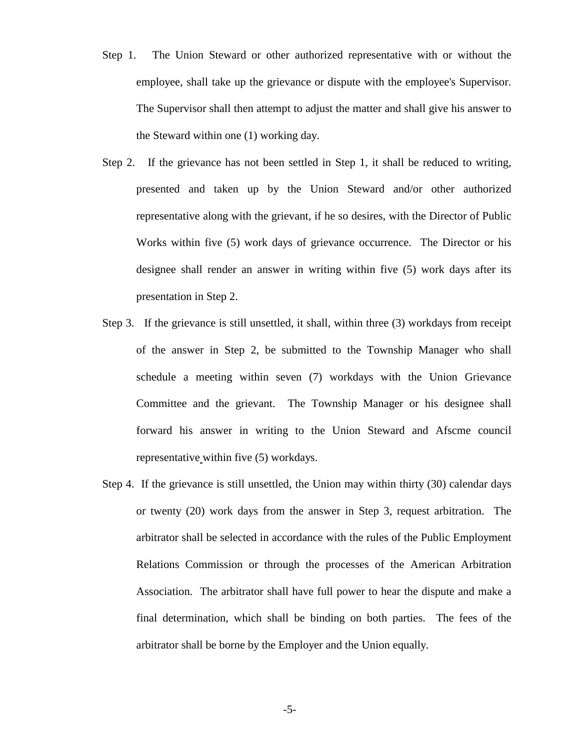- Step 1. The Union Steward or other authorized representative with or without the employee, shall take up the grievance or dispute with the employee's Supervisor. The Supervisor shall then attempt to adjust the matter and shall give his answer to the Steward within one (1) working day.
- Step 2. If the grievance has not been settled in Step 1, it shall be reduced to writing, presented and taken up by the Union Steward and/or other authorized representative along with the grievant, if he so desires, with the Director of Public Works within five (5) work days of grievance occurrence. The Director or his designee shall render an answer in writing within five (5) work days after its presentation in Step 2.
- Step 3. If the grievance is still unsettled, it shall, within three (3) workdays from receipt of the answer in Step 2, be submitted to the Township Manager who shall schedule a meeting within seven (7) workdays with the Union Grievance Committee and the grievant. The Township Manager or his designee shall forward his answer in writing to the Union Steward and Afscme council representative within five (5) workdays.
- Step 4. If the grievance is still unsettled, the Union may within thirty (30) calendar days or twenty (20) work days from the answer in Step 3, request arbitration. The arbitrator shall be selected in accordance with the rules of the Public Employment Relations Commission or through the processes of the American Arbitration Association. The arbitrator shall have full power to hear the dispute and make a final determination, which shall be binding on both parties. The fees of the arbitrator shall be borne by the Employer and the Union equally.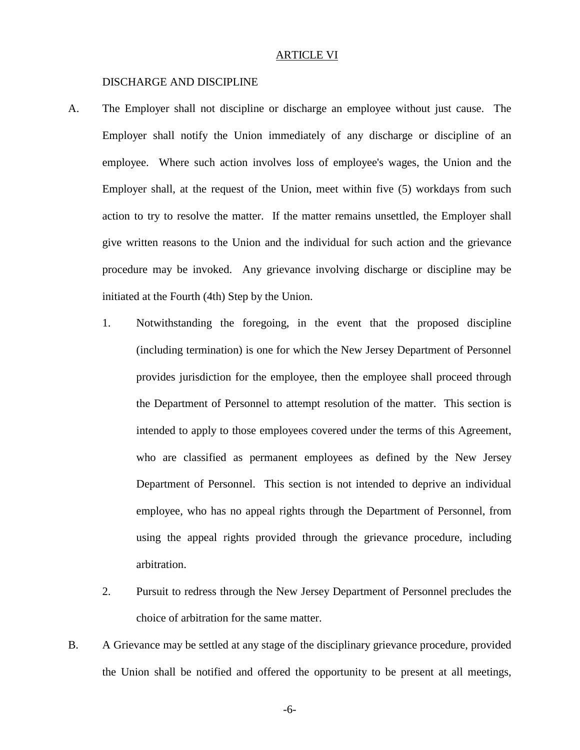#### ARTICLE VI

#### DISCHARGE AND DISCIPLINE

- A. The Employer shall not discipline or discharge an employee without just cause. The Employer shall notify the Union immediately of any discharge or discipline of an employee. Where such action involves loss of employee's wages, the Union and the Employer shall, at the request of the Union, meet within five (5) workdays from such action to try to resolve the matter. If the matter remains unsettled, the Employer shall give written reasons to the Union and the individual for such action and the grievance procedure may be invoked. Any grievance involving discharge or discipline may be initiated at the Fourth (4th) Step by the Union.
	- 1. Notwithstanding the foregoing, in the event that the proposed discipline (including termination) is one for which the New Jersey Department of Personnel provides jurisdiction for the employee, then the employee shall proceed through the Department of Personnel to attempt resolution of the matter. This section is intended to apply to those employees covered under the terms of this Agreement, who are classified as permanent employees as defined by the New Jersey Department of Personnel. This section is not intended to deprive an individual employee, who has no appeal rights through the Department of Personnel, from using the appeal rights provided through the grievance procedure, including arbitration.
	- 2. Pursuit to redress through the New Jersey Department of Personnel precludes the choice of arbitration for the same matter.
- B. A Grievance may be settled at any stage of the disciplinary grievance procedure, provided the Union shall be notified and offered the opportunity to be present at all meetings,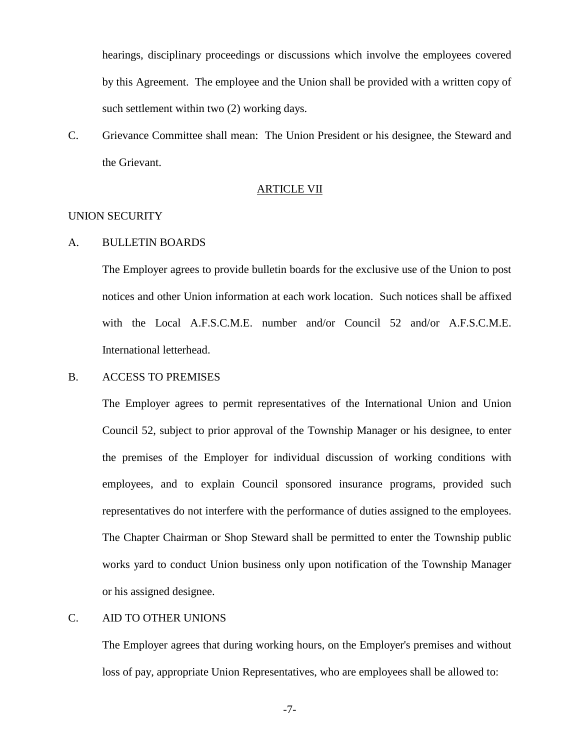hearings, disciplinary proceedings or discussions which involve the employees covered by this Agreement. The employee and the Union shall be provided with a written copy of such settlement within two  $(2)$  working days.

C. Grievance Committee shall mean: The Union President or his designee, the Steward and the Grievant.

# ARTICLE VII

# UNION SECURITY

#### A. BULLETIN BOARDS

 The Employer agrees to provide bulletin boards for the exclusive use of the Union to post notices and other Union information at each work location. Such notices shall be affixed with the Local A.F.S.C.M.E. number and/or Council 52 and/or A.F.S.C.M.E. International letterhead.

# B. ACCESS TO PREMISES

 The Employer agrees to permit representatives of the International Union and Union Council 52, subject to prior approval of the Township Manager or his designee, to enter the premises of the Employer for individual discussion of working conditions with employees, and to explain Council sponsored insurance programs, provided such representatives do not interfere with the performance of duties assigned to the employees. The Chapter Chairman or Shop Steward shall be permitted to enter the Township public works yard to conduct Union business only upon notification of the Township Manager or his assigned designee.

# C. AID TO OTHER UNIONS

 The Employer agrees that during working hours, on the Employer's premises and without loss of pay, appropriate Union Representatives, who are employees shall be allowed to: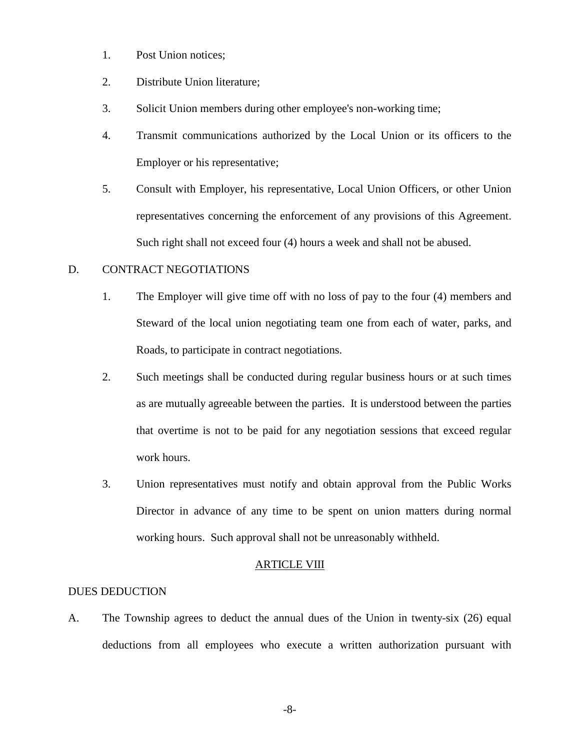- 1. Post Union notices;
- 2. Distribute Union literature;
- 3. Solicit Union members during other employee's non-working time;
- 4. Transmit communications authorized by the Local Union or its officers to the Employer or his representative;
- 5. Consult with Employer, his representative, Local Union Officers, or other Union representatives concerning the enforcement of any provisions of this Agreement. Such right shall not exceed four (4) hours a week and shall not be abused.

# D. CONTRACT NEGOTIATIONS

- 1. The Employer will give time off with no loss of pay to the four (4) members and Steward of the local union negotiating team one from each of water, parks, and Roads, to participate in contract negotiations.
- 2. Such meetings shall be conducted during regular business hours or at such times as are mutually agreeable between the parties. It is understood between the parties that overtime is not to be paid for any negotiation sessions that exceed regular work hours.
- 3. Union representatives must notify and obtain approval from the Public Works Director in advance of any time to be spent on union matters during normal working hours. Such approval shall not be unreasonably withheld.

## ARTICLE VIII

## DUES DEDUCTION

A. The Township agrees to deduct the annual dues of the Union in twenty-six (26) equal deductions from all employees who execute a written authorization pursuant with

-8-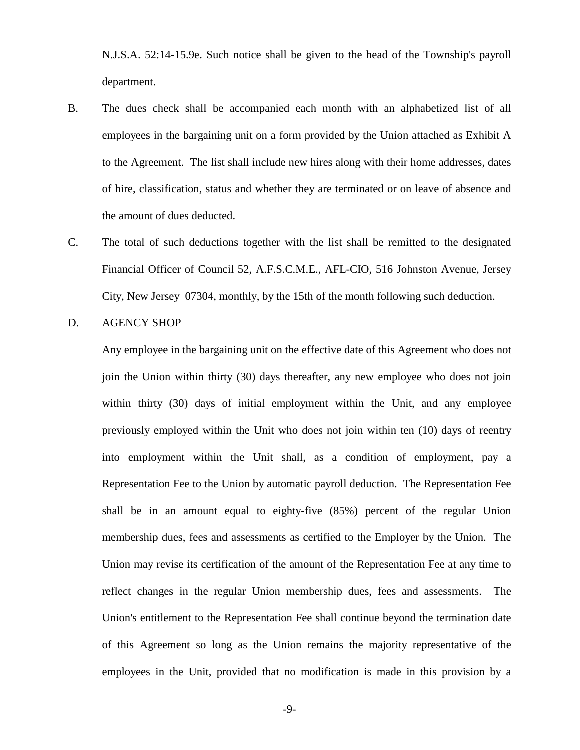N.J.S.A. 52:14-15.9e. Such notice shall be given to the head of the Township's payroll department.

- B. The dues check shall be accompanied each month with an alphabetized list of all employees in the bargaining unit on a form provided by the Union attached as Exhibit A to the Agreement. The list shall include new hires along with their home addresses, dates of hire, classification, status and whether they are terminated or on leave of absence and the amount of dues deducted.
- C. The total of such deductions together with the list shall be remitted to the designated Financial Officer of Council 52, A.F.S.C.M.E., AFL-CIO, 516 Johnston Avenue, Jersey City, New Jersey 07304, monthly, by the 15th of the month following such deduction.
- D. AGENCY SHOP

 Any employee in the bargaining unit on the effective date of this Agreement who does not join the Union within thirty (30) days thereafter, any new employee who does not join within thirty (30) days of initial employment within the Unit, and any employee previously employed within the Unit who does not join within ten (10) days of reentry into employment within the Unit shall, as a condition of employment, pay a Representation Fee to the Union by automatic payroll deduction. The Representation Fee shall be in an amount equal to eighty-five (85%) percent of the regular Union membership dues, fees and assessments as certified to the Employer by the Union. The Union may revise its certification of the amount of the Representation Fee at any time to reflect changes in the regular Union membership dues, fees and assessments. The Union's entitlement to the Representation Fee shall continue beyond the termination date of this Agreement so long as the Union remains the majority representative of the employees in the Unit, provided that no modification is made in this provision by a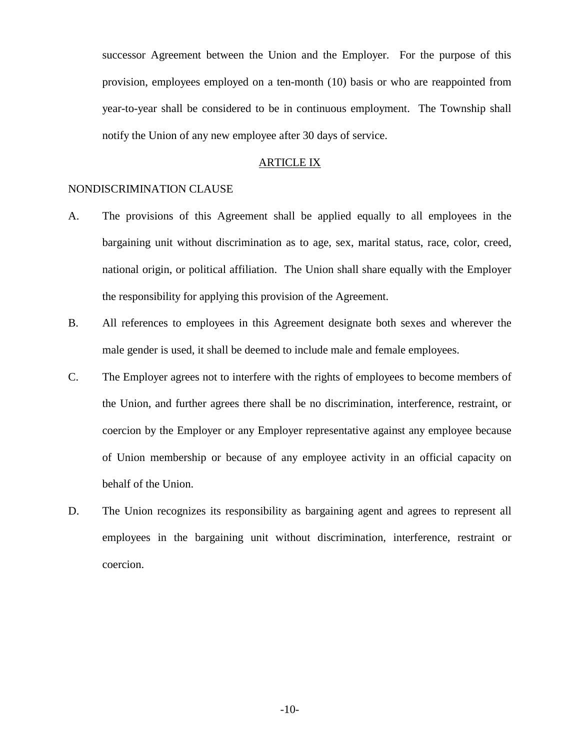successor Agreement between the Union and the Employer. For the purpose of this provision, employees employed on a ten-month (10) basis or who are reappointed from year-to-year shall be considered to be in continuous employment. The Township shall notify the Union of any new employee after 30 days of service.

#### ARTICLE IX

# NONDISCRIMINATION CLAUSE

- A. The provisions of this Agreement shall be applied equally to all employees in the bargaining unit without discrimination as to age, sex, marital status, race, color, creed, national origin, or political affiliation. The Union shall share equally with the Employer the responsibility for applying this provision of the Agreement.
- B. All references to employees in this Agreement designate both sexes and wherever the male gender is used, it shall be deemed to include male and female employees.
- C. The Employer agrees not to interfere with the rights of employees to become members of the Union, and further agrees there shall be no discrimination, interference, restraint, or coercion by the Employer or any Employer representative against any employee because of Union membership or because of any employee activity in an official capacity on behalf of the Union.
- D. The Union recognizes its responsibility as bargaining agent and agrees to represent all employees in the bargaining unit without discrimination, interference, restraint or coercion.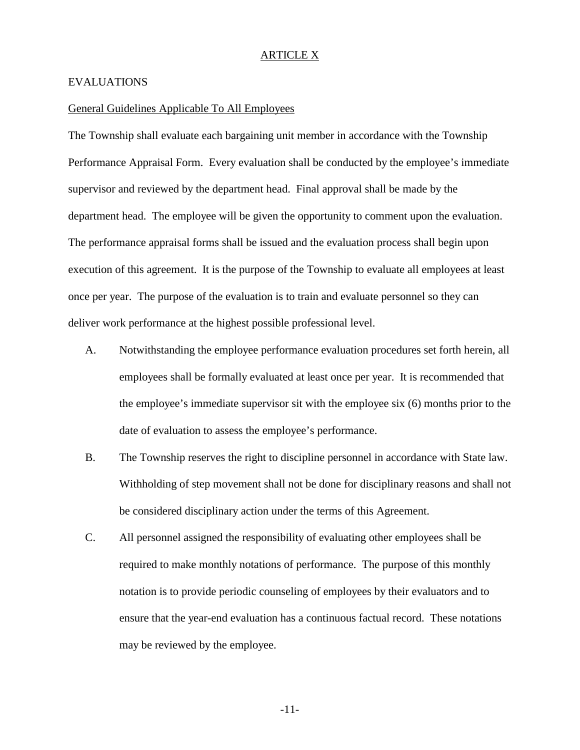## ARTICLE X

#### EVALUATIONS

#### General Guidelines Applicable To All Employees

The Township shall evaluate each bargaining unit member in accordance with the Township Performance Appraisal Form. Every evaluation shall be conducted by the employee's immediate supervisor and reviewed by the department head. Final approval shall be made by the department head. The employee will be given the opportunity to comment upon the evaluation. The performance appraisal forms shall be issued and the evaluation process shall begin upon execution of this agreement. It is the purpose of the Township to evaluate all employees at least once per year. The purpose of the evaluation is to train and evaluate personnel so they can deliver work performance at the highest possible professional level.

- A. Notwithstanding the employee performance evaluation procedures set forth herein, all employees shall be formally evaluated at least once per year. It is recommended that the employee's immediate supervisor sit with the employee six (6) months prior to the date of evaluation to assess the employee's performance.
- B. The Township reserves the right to discipline personnel in accordance with State law. Withholding of step movement shall not be done for disciplinary reasons and shall not be considered disciplinary action under the terms of this Agreement.
- C. All personnel assigned the responsibility of evaluating other employees shall be required to make monthly notations of performance. The purpose of this monthly notation is to provide periodic counseling of employees by their evaluators and to ensure that the year-end evaluation has a continuous factual record. These notations may be reviewed by the employee.

-11-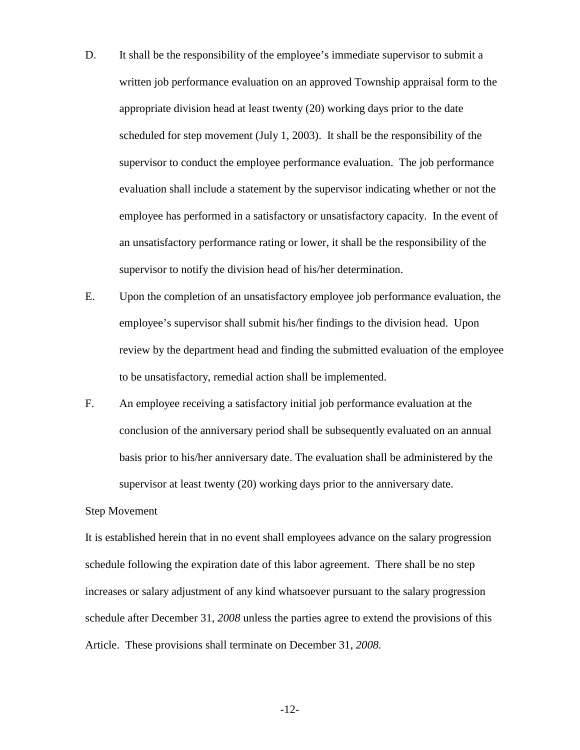- D. It shall be the responsibility of the employee's immediate supervisor to submit a written job performance evaluation on an approved Township appraisal form to the appropriate division head at least twenty (20) working days prior to the date scheduled for step movement (July 1, 2003). It shall be the responsibility of the supervisor to conduct the employee performance evaluation. The job performance evaluation shall include a statement by the supervisor indicating whether or not the employee has performed in a satisfactory or unsatisfactory capacity. In the event of an unsatisfactory performance rating or lower, it shall be the responsibility of the supervisor to notify the division head of his/her determination.
- E. Upon the completion of an unsatisfactory employee job performance evaluation, the employee's supervisor shall submit his/her findings to the division head. Upon review by the department head and finding the submitted evaluation of the employee to be unsatisfactory, remedial action shall be implemented.
- F. An employee receiving a satisfactory initial job performance evaluation at the conclusion of the anniversary period shall be subsequently evaluated on an annual basis prior to his/her anniversary date. The evaluation shall be administered by the supervisor at least twenty (20) working days prior to the anniversary date.

# Step Movement

It is established herein that in no event shall employees advance on the salary progression schedule following the expiration date of this labor agreement. There shall be no step increases or salary adjustment of any kind whatsoever pursuant to the salary progression schedule after December 31, *2008* unless the parties agree to extend the provisions of this Article. These provisions shall terminate on December 31, *2008.*

-12-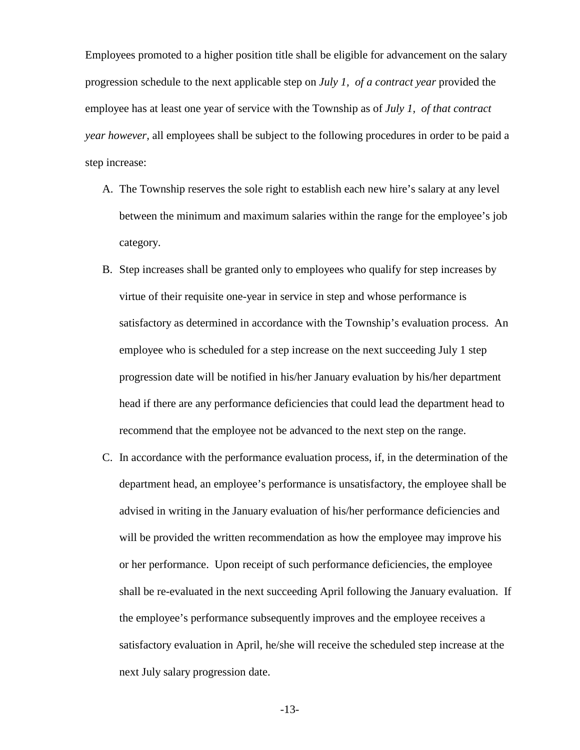Employees promoted to a higher position title shall be eligible for advancement on the salary progression schedule to the next applicable step on *July 1, of a contract year* provided the employee has at least one year of service with the Township as of *July 1, of that contract year however,* all employees shall be subject to the following procedures in order to be paid a step increase:

- A. The Township reserves the sole right to establish each new hire's salary at any level between the minimum and maximum salaries within the range for the employee's job category.
- B. Step increases shall be granted only to employees who qualify for step increases by virtue of their requisite one-year in service in step and whose performance is satisfactory as determined in accordance with the Township's evaluation process. An employee who is scheduled for a step increase on the next succeeding July 1 step progression date will be notified in his/her January evaluation by his/her department head if there are any performance deficiencies that could lead the department head to recommend that the employee not be advanced to the next step on the range.
- C. In accordance with the performance evaluation process, if, in the determination of the department head, an employee's performance is unsatisfactory, the employee shall be advised in writing in the January evaluation of his/her performance deficiencies and will be provided the written recommendation as how the employee may improve his or her performance. Upon receipt of such performance deficiencies, the employee shall be re-evaluated in the next succeeding April following the January evaluation. If the employee's performance subsequently improves and the employee receives a satisfactory evaluation in April, he/she will receive the scheduled step increase at the next July salary progression date.

-13-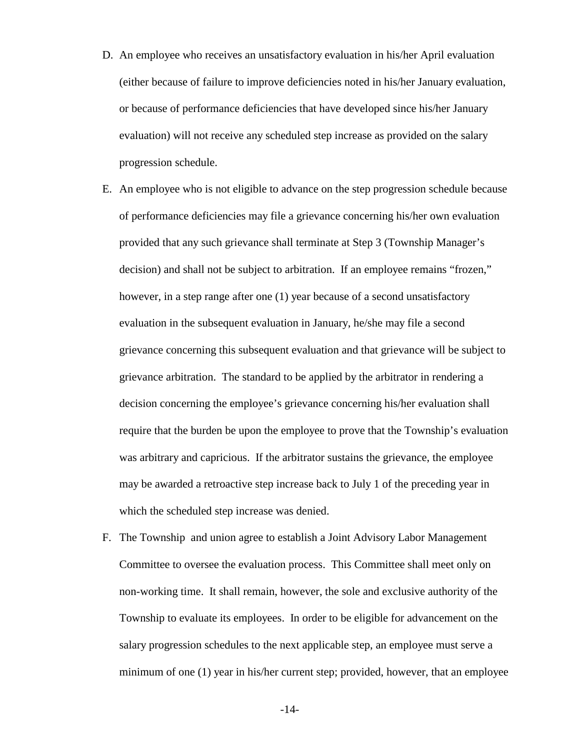- D. An employee who receives an unsatisfactory evaluation in his/her April evaluation (either because of failure to improve deficiencies noted in his/her January evaluation, or because of performance deficiencies that have developed since his/her January evaluation) will not receive any scheduled step increase as provided on the salary progression schedule.
- E. An employee who is not eligible to advance on the step progression schedule because of performance deficiencies may file a grievance concerning his/her own evaluation provided that any such grievance shall terminate at Step 3 (Township Manager's decision) and shall not be subject to arbitration. If an employee remains "frozen," however, in a step range after one (1) year because of a second unsatisfactory evaluation in the subsequent evaluation in January, he/she may file a second grievance concerning this subsequent evaluation and that grievance will be subject to grievance arbitration. The standard to be applied by the arbitrator in rendering a decision concerning the employee's grievance concerning his/her evaluation shall require that the burden be upon the employee to prove that the Township's evaluation was arbitrary and capricious. If the arbitrator sustains the grievance, the employee may be awarded a retroactive step increase back to July 1 of the preceding year in which the scheduled step increase was denied.
- F. The Township and union agree to establish a Joint Advisory Labor Management Committee to oversee the evaluation process. This Committee shall meet only on non-working time. It shall remain, however, the sole and exclusive authority of the Township to evaluate its employees. In order to be eligible for advancement on the salary progression schedules to the next applicable step, an employee must serve a minimum of one (1) year in his/her current step; provided, however, that an employee

-14-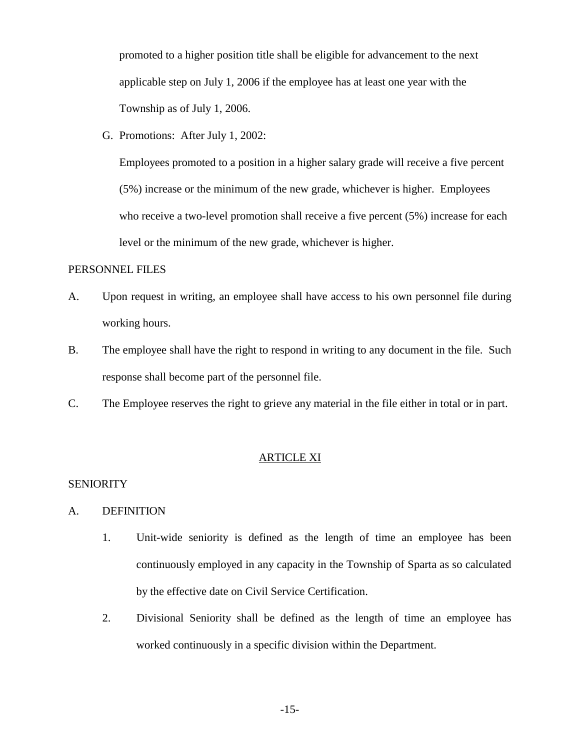promoted to a higher position title shall be eligible for advancement to the next applicable step on July 1, 2006 if the employee has at least one year with the Township as of July 1, 2006.

G. Promotions: After July 1, 2002:

Employees promoted to a position in a higher salary grade will receive a five percent (5%) increase or the minimum of the new grade, whichever is higher. Employees who receive a two-level promotion shall receive a five percent  $(5%)$  increase for each level or the minimum of the new grade, whichever is higher.

## PERSONNEL FILES

- A. Upon request in writing, an employee shall have access to his own personnel file during working hours.
- B. The employee shall have the right to respond in writing to any document in the file. Such response shall become part of the personnel file.
- C. The Employee reserves the right to grieve any material in the file either in total or in part.

## ARTICLE XI

# **SENIORITY**

- A. DEFINITION
	- 1. Unit-wide seniority is defined as the length of time an employee has been continuously employed in any capacity in the Township of Sparta as so calculated by the effective date on Civil Service Certification.
	- 2. Divisional Seniority shall be defined as the length of time an employee has worked continuously in a specific division within the Department.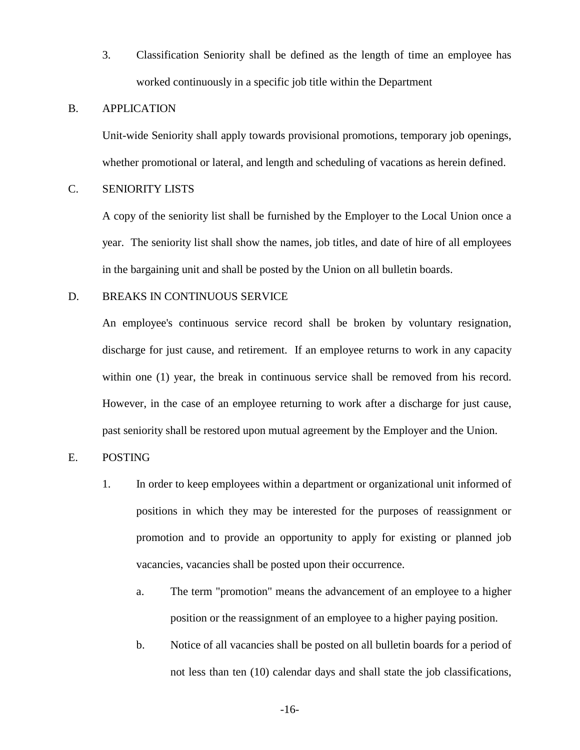3. Classification Seniority shall be defined as the length of time an employee has worked continuously in a specific job title within the Department

### B. APPLICATION

Unit-wide Seniority shall apply towards provisional promotions, temporary job openings, whether promotional or lateral, and length and scheduling of vacations as herein defined.

# C. SENIORITY LISTS

 A copy of the seniority list shall be furnished by the Employer to the Local Union once a year. The seniority list shall show the names, job titles, and date of hire of all employees in the bargaining unit and shall be posted by the Union on all bulletin boards.

# D. BREAKS IN CONTINUOUS SERVICE

 An employee's continuous service record shall be broken by voluntary resignation, discharge for just cause, and retirement. If an employee returns to work in any capacity within one (1) year, the break in continuous service shall be removed from his record. However, in the case of an employee returning to work after a discharge for just cause, past seniority shall be restored upon mutual agreement by the Employer and the Union.

# E. POSTING

- 1. In order to keep employees within a department or organizational unit informed of positions in which they may be interested for the purposes of reassignment or promotion and to provide an opportunity to apply for existing or planned job vacancies, vacancies shall be posted upon their occurrence.
	- a. The term "promotion" means the advancement of an employee to a higher position or the reassignment of an employee to a higher paying position.
	- b. Notice of all vacancies shall be posted on all bulletin boards for a period of not less than ten (10) calendar days and shall state the job classifications,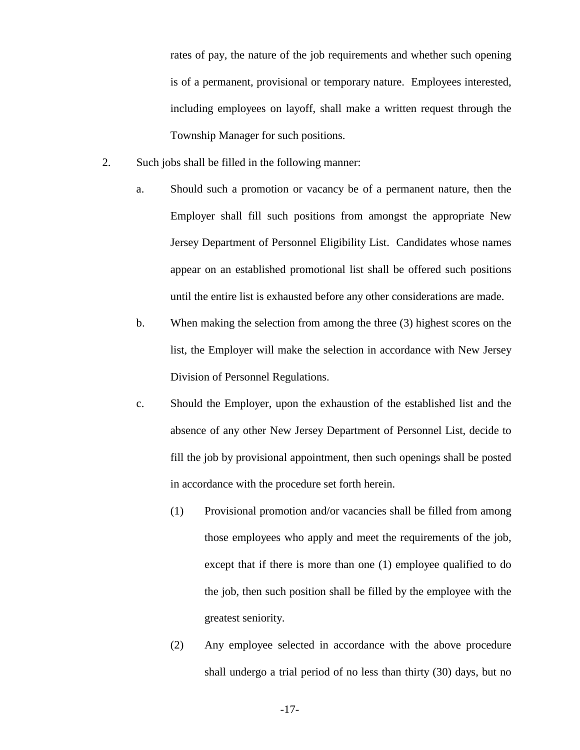rates of pay, the nature of the job requirements and whether such opening is of a permanent, provisional or temporary nature. Employees interested, including employees on layoff, shall make a written request through the Township Manager for such positions.

- 2. Such jobs shall be filled in the following manner:
	- a. Should such a promotion or vacancy be of a permanent nature, then the Employer shall fill such positions from amongst the appropriate New Jersey Department of Personnel Eligibility List. Candidates whose names appear on an established promotional list shall be offered such positions until the entire list is exhausted before any other considerations are made.
	- b. When making the selection from among the three (3) highest scores on the list, the Employer will make the selection in accordance with New Jersey Division of Personnel Regulations.
	- c. Should the Employer, upon the exhaustion of the established list and the absence of any other New Jersey Department of Personnel List, decide to fill the job by provisional appointment, then such openings shall be posted in accordance with the procedure set forth herein.
		- (1) Provisional promotion and/or vacancies shall be filled from among those employees who apply and meet the requirements of the job, except that if there is more than one (1) employee qualified to do the job, then such position shall be filled by the employee with the greatest seniority.
		- (2) Any employee selected in accordance with the above procedure shall undergo a trial period of no less than thirty (30) days, but no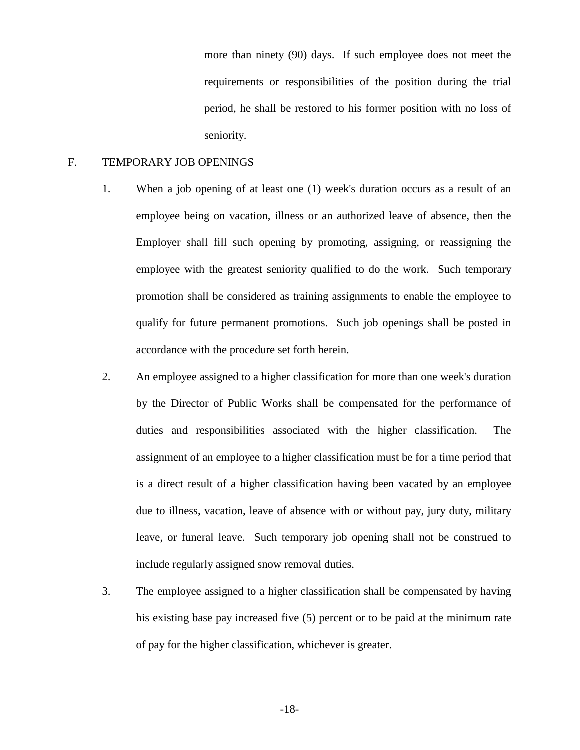more than ninety (90) days. If such employee does not meet the requirements or responsibilities of the position during the trial period, he shall be restored to his former position with no loss of seniority.

## F. TEMPORARY JOB OPENINGS

- 1. When a job opening of at least one (1) week's duration occurs as a result of an employee being on vacation, illness or an authorized leave of absence, then the Employer shall fill such opening by promoting, assigning, or reassigning the employee with the greatest seniority qualified to do the work. Such temporary promotion shall be considered as training assignments to enable the employee to qualify for future permanent promotions. Such job openings shall be posted in accordance with the procedure set forth herein.
- 2. An employee assigned to a higher classification for more than one week's duration by the Director of Public Works shall be compensated for the performance of duties and responsibilities associated with the higher classification. The assignment of an employee to a higher classification must be for a time period that is a direct result of a higher classification having been vacated by an employee due to illness, vacation, leave of absence with or without pay, jury duty, military leave, or funeral leave. Such temporary job opening shall not be construed to include regularly assigned snow removal duties.
- 3. The employee assigned to a higher classification shall be compensated by having his existing base pay increased five (5) percent or to be paid at the minimum rate of pay for the higher classification, whichever is greater.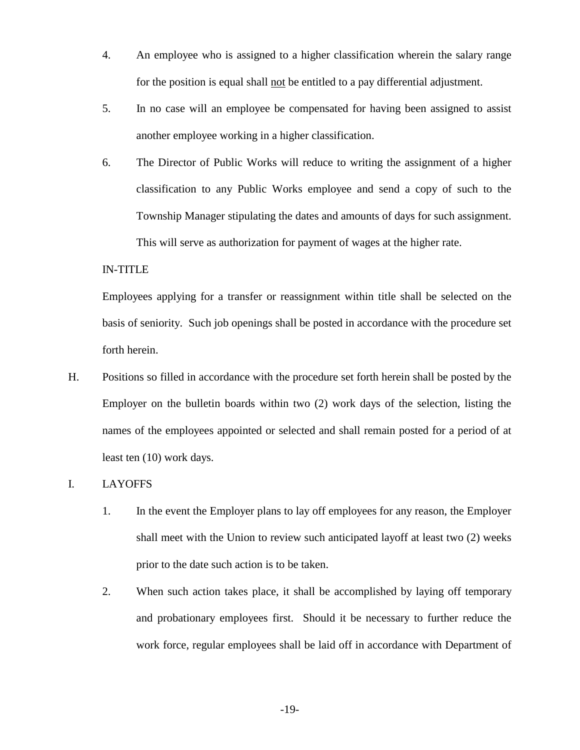- 4. An employee who is assigned to a higher classification wherein the salary range for the position is equal shall not be entitled to a pay differential adjustment.
- 5. In no case will an employee be compensated for having been assigned to assist another employee working in a higher classification.
- 6. The Director of Public Works will reduce to writing the assignment of a higher classification to any Public Works employee and send a copy of such to the Township Manager stipulating the dates and amounts of days for such assignment. This will serve as authorization for payment of wages at the higher rate.

# IN-TITLE

 Employees applying for a transfer or reassignment within title shall be selected on the basis of seniority. Such job openings shall be posted in accordance with the procedure set forth herein.

H. Positions so filled in accordance with the procedure set forth herein shall be posted by the Employer on the bulletin boards within two (2) work days of the selection, listing the names of the employees appointed or selected and shall remain posted for a period of at least ten (10) work days.

# I. LAYOFFS

- 1. In the event the Employer plans to lay off employees for any reason, the Employer shall meet with the Union to review such anticipated layoff at least two (2) weeks prior to the date such action is to be taken.
- 2. When such action takes place, it shall be accomplished by laying off temporary and probationary employees first. Should it be necessary to further reduce the work force, regular employees shall be laid off in accordance with Department of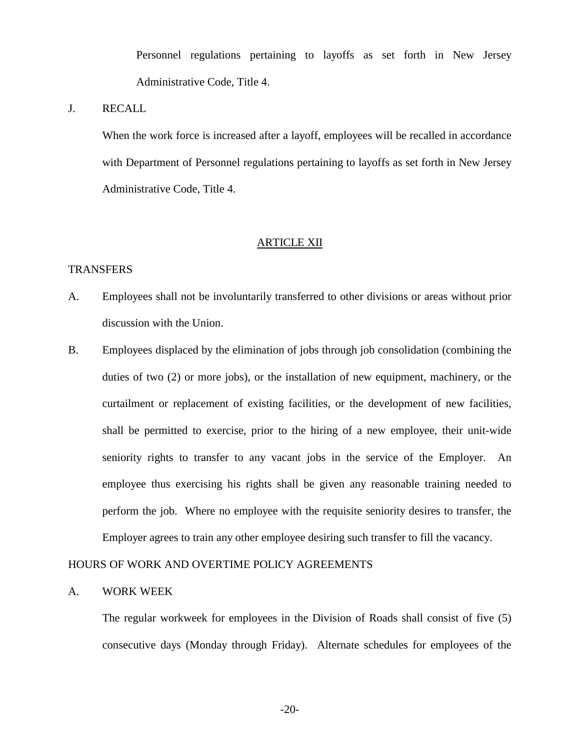Personnel regulations pertaining to layoffs as set forth in New Jersey Administrative Code, Title 4.

# J. RECALL

When the work force is increased after a layoff, employees will be recalled in accordance with Department of Personnel regulations pertaining to layoffs as set forth in New Jersey Administrative Code, Title 4.

# ARTICLE XII

### TRANSFERS

- A. Employees shall not be involuntarily transferred to other divisions or areas without prior discussion with the Union.
- B. Employees displaced by the elimination of jobs through job consolidation (combining the duties of two (2) or more jobs), or the installation of new equipment, machinery, or the curtailment or replacement of existing facilities, or the development of new facilities, shall be permitted to exercise, prior to the hiring of a new employee, their unit-wide seniority rights to transfer to any vacant jobs in the service of the Employer. An employee thus exercising his rights shall be given any reasonable training needed to perform the job. Where no employee with the requisite seniority desires to transfer, the Employer agrees to train any other employee desiring such transfer to fill the vacancy.

# HOURS OF WORK AND OVERTIME POLICY AGREEMENTS

#### A. WORK WEEK

 The regular workweek for employees in the Division of Roads shall consist of five (5) consecutive days (Monday through Friday). Alternate schedules for employees of the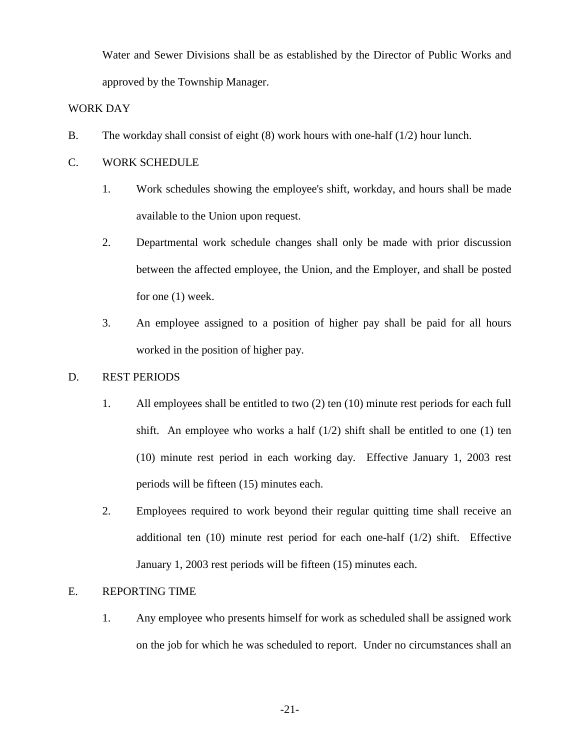Water and Sewer Divisions shall be as established by the Director of Public Works and approved by the Township Manager.

# WORK DAY

- B. The workday shall consist of eight (8) work hours with one-half (1/2) hour lunch.
- C. WORK SCHEDULE
	- 1. Work schedules showing the employee's shift, workday, and hours shall be made available to the Union upon request.
	- 2. Departmental work schedule changes shall only be made with prior discussion between the affected employee, the Union, and the Employer, and shall be posted for one (1) week.
	- 3. An employee assigned to a position of higher pay shall be paid for all hours worked in the position of higher pay.

# D. REST PERIODS

- 1. All employees shall be entitled to two (2) ten (10) minute rest periods for each full shift. An employee who works a half  $(1/2)$  shift shall be entitled to one  $(1)$  ten (10) minute rest period in each working day. Effective January 1, 2003 rest periods will be fifteen (15) minutes each.
- 2. Employees required to work beyond their regular quitting time shall receive an additional ten (10) minute rest period for each one-half (1/2) shift. Effective January 1, 2003 rest periods will be fifteen (15) minutes each.

# E. REPORTING TIME

1. Any employee who presents himself for work as scheduled shall be assigned work on the job for which he was scheduled to report. Under no circumstances shall an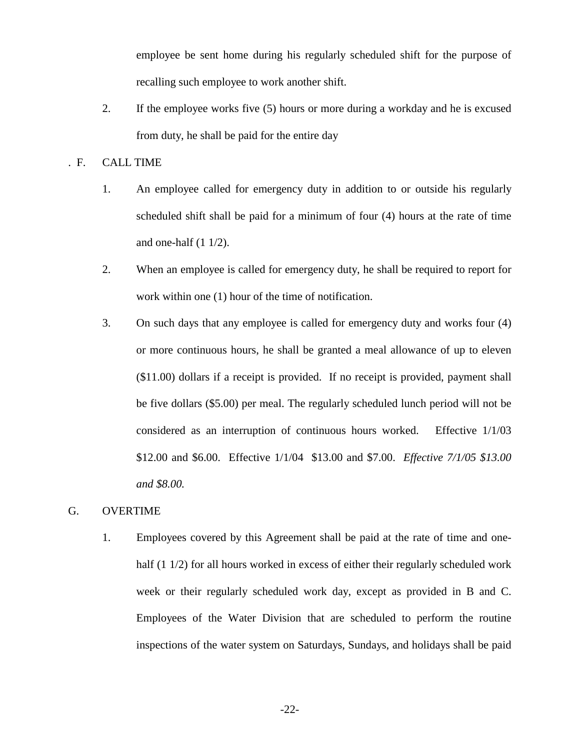employee be sent home during his regularly scheduled shift for the purpose of recalling such employee to work another shift.

2. If the employee works five (5) hours or more during a workday and he is excused from duty, he shall be paid for the entire day

# . F. CALL TIME

- 1. An employee called for emergency duty in addition to or outside his regularly scheduled shift shall be paid for a minimum of four (4) hours at the rate of time and one-half (1 1/2).
- 2. When an employee is called for emergency duty, he shall be required to report for work within one (1) hour of the time of notification.
- 3. On such days that any employee is called for emergency duty and works four (4) or more continuous hours, he shall be granted a meal allowance of up to eleven (\$11.00) dollars if a receipt is provided. If no receipt is provided, payment shall be five dollars (\$5.00) per meal. The regularly scheduled lunch period will not be considered as an interruption of continuous hours worked. Effective 1/1/03 \$12.00 and \$6.00. Effective 1/1/04 \$13.00 and \$7.00. *Effective 7/1/05 \$13.00 and \$8.00.*

# G. OVERTIME

1. Employees covered by this Agreement shall be paid at the rate of time and onehalf (1 1/2) for all hours worked in excess of either their regularly scheduled work week or their regularly scheduled work day, except as provided in B and C. Employees of the Water Division that are scheduled to perform the routine inspections of the water system on Saturdays, Sundays, and holidays shall be paid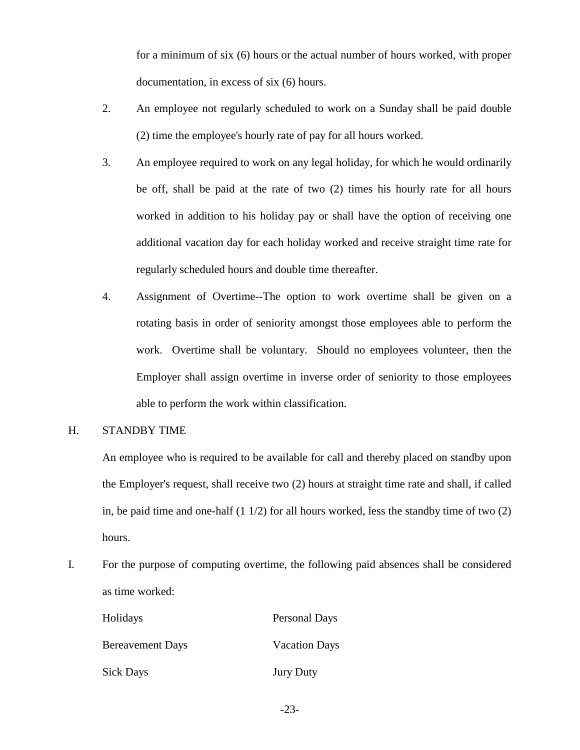for a minimum of six (6) hours or the actual number of hours worked, with proper documentation, in excess of six (6) hours.

- 2. An employee not regularly scheduled to work on a Sunday shall be paid double (2) time the employee's hourly rate of pay for all hours worked.
- 3. An employee required to work on any legal holiday, for which he would ordinarily be off, shall be paid at the rate of two (2) times his hourly rate for all hours worked in addition to his holiday pay or shall have the option of receiving one additional vacation day for each holiday worked and receive straight time rate for regularly scheduled hours and double time thereafter.
- 4. Assignment of Overtime--The option to work overtime shall be given on a rotating basis in order of seniority amongst those employees able to perform the work. Overtime shall be voluntary. Should no employees volunteer, then the Employer shall assign overtime in inverse order of seniority to those employees able to perform the work within classification.
- H. STANDBY TIME

 An employee who is required to be available for call and thereby placed on standby upon the Employer's request, shall receive two (2) hours at straight time rate and shall, if called in, be paid time and one-half  $(1\ 1/2)$  for all hours worked, less the standby time of two  $(2)$ hours.

I. For the purpose of computing overtime, the following paid absences shall be considered as time worked:

| Holidays                | <b>Personal Days</b> |
|-------------------------|----------------------|
| <b>Bereavement Days</b> | <b>Vacation Days</b> |
| <b>Sick Days</b>        | <b>Jury Duty</b>     |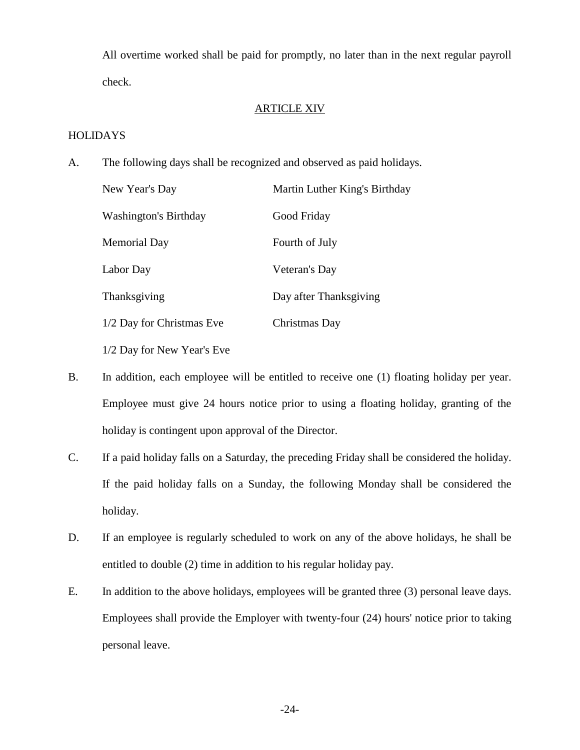All overtime worked shall be paid for promptly, no later than in the next regular payroll check.

# ARTICLE XIV

# **HOLIDAYS**

A. The following days shall be recognized and observed as paid holidays.

| New Year's Day               | Martin Luther King's Birthday |
|------------------------------|-------------------------------|
| <b>Washington's Birthday</b> | Good Friday                   |
| Memorial Day                 | Fourth of July                |
| Labor Day                    | Veteran's Day                 |
| Thanksgiving                 | Day after Thanksgiving        |
| 1/2 Day for Christmas Eve    | Christmas Day                 |
| 1/2 Day for New Year's Eve   |                               |

- B. In addition, each employee will be entitled to receive one (1) floating holiday per year. Employee must give 24 hours notice prior to using a floating holiday, granting of the holiday is contingent upon approval of the Director.
- C. If a paid holiday falls on a Saturday, the preceding Friday shall be considered the holiday. If the paid holiday falls on a Sunday, the following Monday shall be considered the holiday.
- D. If an employee is regularly scheduled to work on any of the above holidays, he shall be entitled to double (2) time in addition to his regular holiday pay.
- E. In addition to the above holidays, employees will be granted three (3) personal leave days. Employees shall provide the Employer with twenty-four (24) hours' notice prior to taking personal leave.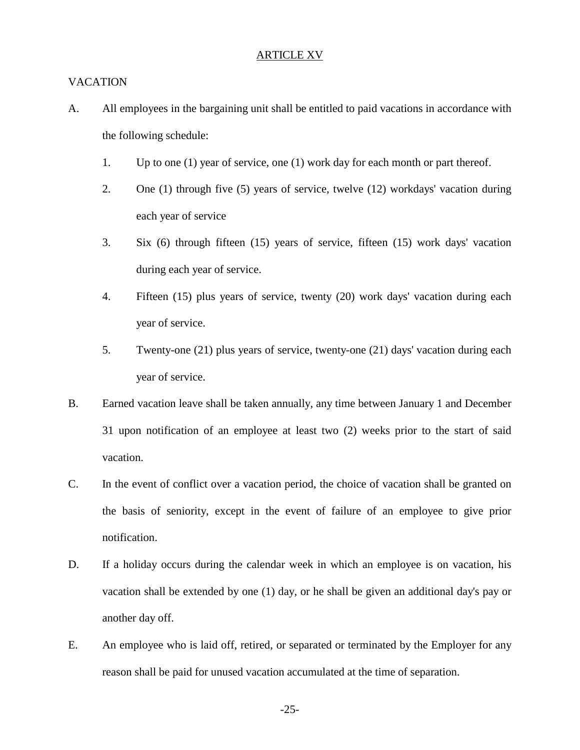#### ARTICLE XV

# VACATION

- A. All employees in the bargaining unit shall be entitled to paid vacations in accordance with the following schedule:
	- 1. Up to one (1) year of service, one (1) work day for each month or part thereof.
	- 2. One (1) through five (5) years of service, twelve (12) workdays' vacation during each year of service
	- 3. Six (6) through fifteen (15) years of service, fifteen (15) work days' vacation during each year of service.
	- 4. Fifteen (15) plus years of service, twenty (20) work days' vacation during each year of service.
	- 5. Twenty-one (21) plus years of service, twenty-one (21) days' vacation during each year of service.
- B. Earned vacation leave shall be taken annually, any time between January 1 and December 31 upon notification of an employee at least two (2) weeks prior to the start of said vacation.
- C. In the event of conflict over a vacation period, the choice of vacation shall be granted on the basis of seniority, except in the event of failure of an employee to give prior notification.
- D. If a holiday occurs during the calendar week in which an employee is on vacation, his vacation shall be extended by one (1) day, or he shall be given an additional day's pay or another day off.
- E. An employee who is laid off, retired, or separated or terminated by the Employer for any reason shall be paid for unused vacation accumulated at the time of separation.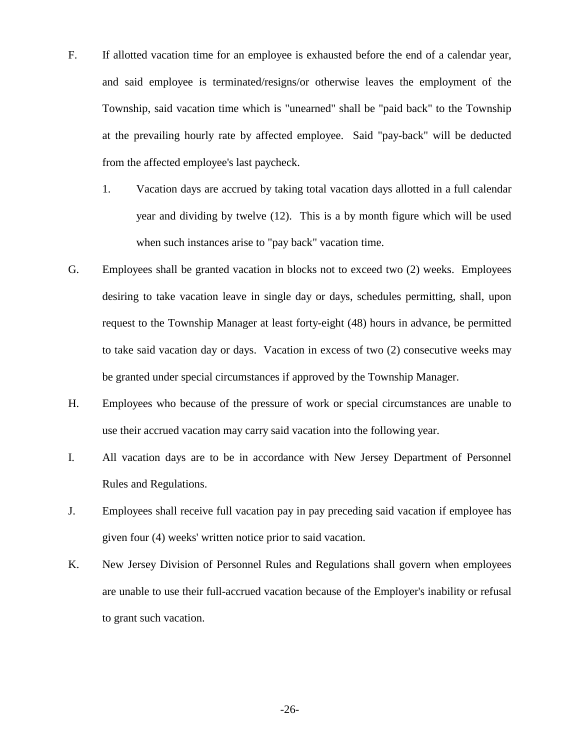- F. If allotted vacation time for an employee is exhausted before the end of a calendar year, and said employee is terminated/resigns/or otherwise leaves the employment of the Township, said vacation time which is "unearned" shall be "paid back" to the Township at the prevailing hourly rate by affected employee. Said "pay-back" will be deducted from the affected employee's last paycheck.
	- 1. Vacation days are accrued by taking total vacation days allotted in a full calendar year and dividing by twelve (12). This is a by month figure which will be used when such instances arise to "pay back" vacation time.
- G. Employees shall be granted vacation in blocks not to exceed two (2) weeks. Employees desiring to take vacation leave in single day or days, schedules permitting, shall, upon request to the Township Manager at least forty-eight (48) hours in advance, be permitted to take said vacation day or days. Vacation in excess of two (2) consecutive weeks may be granted under special circumstances if approved by the Township Manager.
- H. Employees who because of the pressure of work or special circumstances are unable to use their accrued vacation may carry said vacation into the following year.
- I. All vacation days are to be in accordance with New Jersey Department of Personnel Rules and Regulations.
- J. Employees shall receive full vacation pay in pay preceding said vacation if employee has given four (4) weeks' written notice prior to said vacation.
- K. New Jersey Division of Personnel Rules and Regulations shall govern when employees are unable to use their full-accrued vacation because of the Employer's inability or refusal to grant such vacation.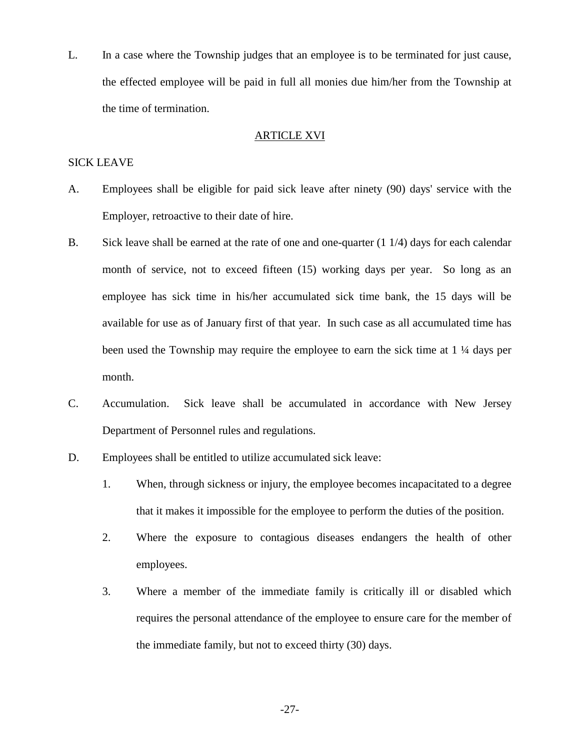L. In a case where the Township judges that an employee is to be terminated for just cause, the effected employee will be paid in full all monies due him/her from the Township at the time of termination.

# ARTICLE XVI

# SICK LEAVE

- A. Employees shall be eligible for paid sick leave after ninety (90) days' service with the Employer, retroactive to their date of hire.
- B. Sick leave shall be earned at the rate of one and one-quarter (1 1/4) days for each calendar month of service, not to exceed fifteen (15) working days per year. So long as an employee has sick time in his/her accumulated sick time bank, the 15 days will be available for use as of January first of that year. In such case as all accumulated time has been used the Township may require the employee to earn the sick time at 1 ¼ days per month.
- C. Accumulation. Sick leave shall be accumulated in accordance with New Jersey Department of Personnel rules and regulations.
- D. Employees shall be entitled to utilize accumulated sick leave:
	- 1. When, through sickness or injury, the employee becomes incapacitated to a degree that it makes it impossible for the employee to perform the duties of the position.
	- 2. Where the exposure to contagious diseases endangers the health of other employees.
	- 3. Where a member of the immediate family is critically ill or disabled which requires the personal attendance of the employee to ensure care for the member of the immediate family, but not to exceed thirty (30) days.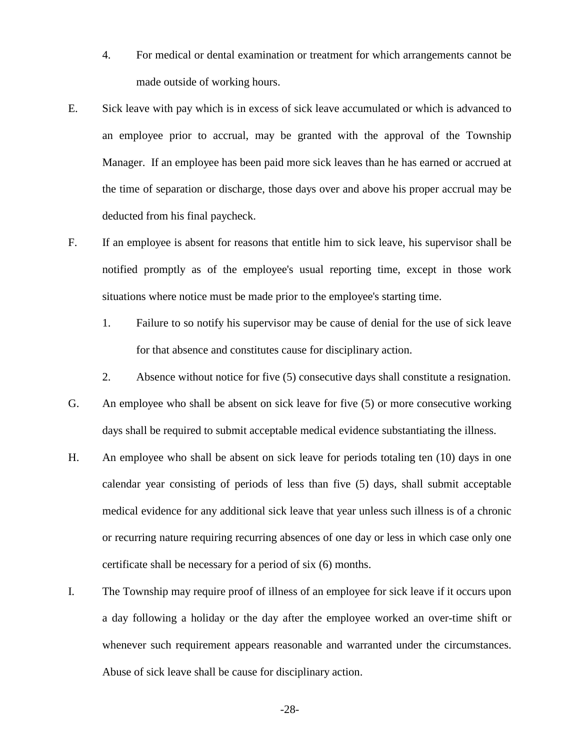- 4. For medical or dental examination or treatment for which arrangements cannot be made outside of working hours.
- E. Sick leave with pay which is in excess of sick leave accumulated or which is advanced to an employee prior to accrual, may be granted with the approval of the Township Manager. If an employee has been paid more sick leaves than he has earned or accrued at the time of separation or discharge, those days over and above his proper accrual may be deducted from his final paycheck.
- F. If an employee is absent for reasons that entitle him to sick leave, his supervisor shall be notified promptly as of the employee's usual reporting time, except in those work situations where notice must be made prior to the employee's starting time.
	- 1. Failure to so notify his supervisor may be cause of denial for the use of sick leave for that absence and constitutes cause for disciplinary action.
	- 2. Absence without notice for five (5) consecutive days shall constitute a resignation.
- G. An employee who shall be absent on sick leave for five (5) or more consecutive working days shall be required to submit acceptable medical evidence substantiating the illness.
- H. An employee who shall be absent on sick leave for periods totaling ten (10) days in one calendar year consisting of periods of less than five (5) days, shall submit acceptable medical evidence for any additional sick leave that year unless such illness is of a chronic or recurring nature requiring recurring absences of one day or less in which case only one certificate shall be necessary for a period of six (6) months.
- I. The Township may require proof of illness of an employee for sick leave if it occurs upon a day following a holiday or the day after the employee worked an over-time shift or whenever such requirement appears reasonable and warranted under the circumstances. Abuse of sick leave shall be cause for disciplinary action.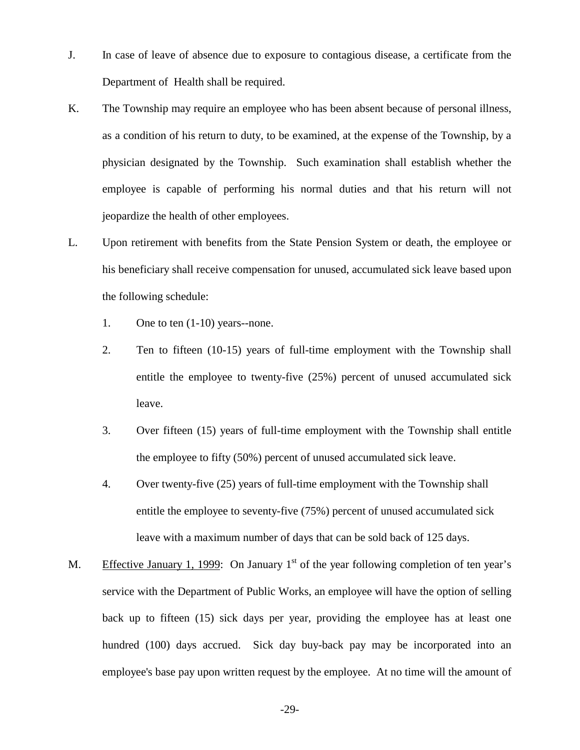- J. In case of leave of absence due to exposure to contagious disease, a certificate from the Department of Health shall be required.
- K. The Township may require an employee who has been absent because of personal illness, as a condition of his return to duty, to be examined, at the expense of the Township, by a physician designated by the Township. Such examination shall establish whether the employee is capable of performing his normal duties and that his return will not jeopardize the health of other employees.
- L. Upon retirement with benefits from the State Pension System or death, the employee or his beneficiary shall receive compensation for unused, accumulated sick leave based upon the following schedule:
	- 1. One to ten (1-10) years--none.
	- 2. Ten to fifteen (10-15) years of full-time employment with the Township shall entitle the employee to twenty-five (25%) percent of unused accumulated sick leave.
	- 3. Over fifteen (15) years of full-time employment with the Township shall entitle the employee to fifty (50%) percent of unused accumulated sick leave.
	- 4. Over twenty-five (25) years of full-time employment with the Township shall entitle the employee to seventy-five (75%) percent of unused accumulated sick leave with a maximum number of days that can be sold back of 125 days.
- M. Effective January 1, 1999: On January  $1<sup>st</sup>$  of the year following completion of ten year's service with the Department of Public Works, an employee will have the option of selling back up to fifteen (15) sick days per year, providing the employee has at least one hundred (100) days accrued. Sick day buy-back pay may be incorporated into an employee's base pay upon written request by the employee. At no time will the amount of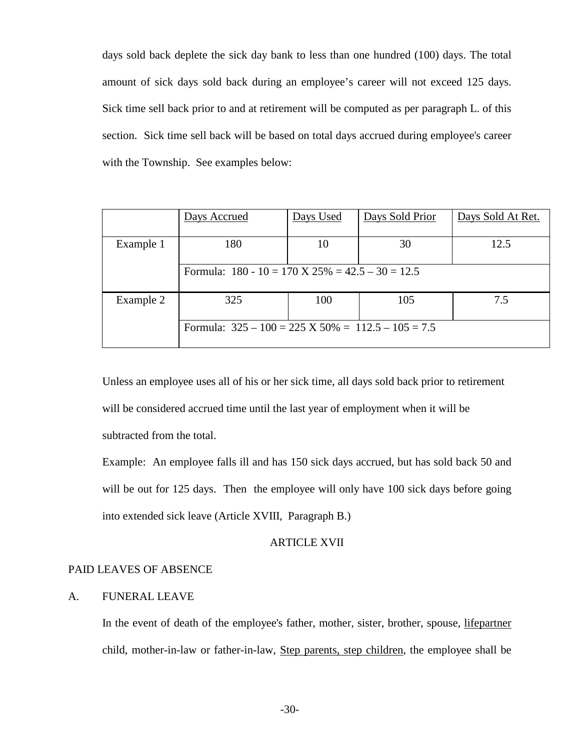days sold back deplete the sick day bank to less than one hundred (100) days. The total amount of sick days sold back during an employee's career will not exceed 125 days. Sick time sell back prior to and at retirement will be computed as per paragraph L. of this section. Sick time sell back will be based on total days accrued during employee's career with the Township. See examples below:

|           | Days Accrued                                                   | Days Used | Days Sold Prior | Days Sold At Ret. |
|-----------|----------------------------------------------------------------|-----------|-----------------|-------------------|
| Example 1 | 180                                                            | 10        | 30              | 12.5              |
|           | Formula: $180 - 10 = 170$ X $25\% = 42.5 - 30 = 12.5$          |           |                 |                   |
| Example 2 | 325                                                            | 100       | 105             | 7.5               |
|           | Formula: $325 - 100 = 225 \text{ X } 50\% = 112.5 - 105 = 7.5$ |           |                 |                   |

Unless an employee uses all of his or her sick time, all days sold back prior to retirement will be considered accrued time until the last year of employment when it will be subtracted from the total.

Example: An employee falls ill and has 150 sick days accrued, but has sold back 50 and will be out for 125 days. Then the employee will only have 100 sick days before going into extended sick leave (Article XVIII, Paragraph B.)

# ARTICLE XVII

# PAID LEAVES OF ABSENCE

# A. FUNERAL LEAVE

In the event of death of the employee's father, mother, sister, brother, spouse, *lifepartner* child, mother-in-law or father-in-law, Step parents, step children, the employee shall be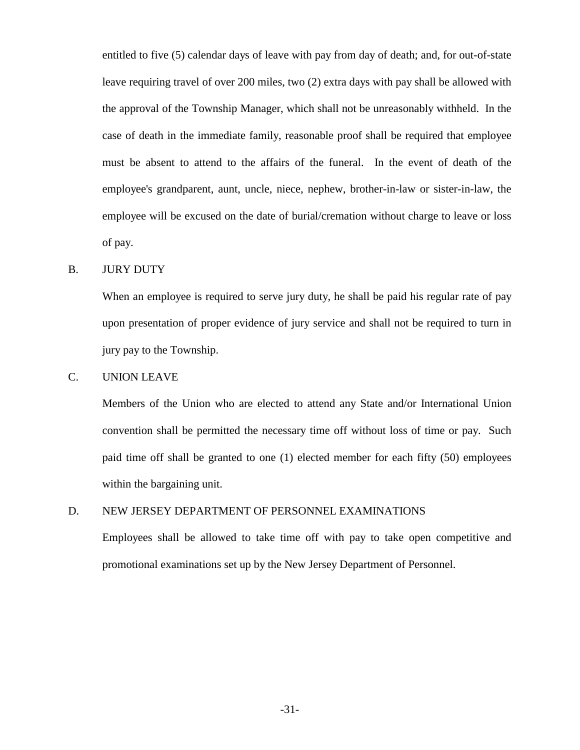entitled to five (5) calendar days of leave with pay from day of death; and, for out-of-state leave requiring travel of over 200 miles, two (2) extra days with pay shall be allowed with the approval of the Township Manager, which shall not be unreasonably withheld. In the case of death in the immediate family, reasonable proof shall be required that employee must be absent to attend to the affairs of the funeral. In the event of death of the employee's grandparent, aunt, uncle, niece, nephew, brother-in-law or sister-in-law, the employee will be excused on the date of burial/cremation without charge to leave or loss of pay.

# B. JURY DUTY

 When an employee is required to serve jury duty, he shall be paid his regular rate of pay upon presentation of proper evidence of jury service and shall not be required to turn in jury pay to the Township.

# C. UNION LEAVE

 Members of the Union who are elected to attend any State and/or International Union convention shall be permitted the necessary time off without loss of time or pay. Such paid time off shall be granted to one (1) elected member for each fifty (50) employees within the bargaining unit.

# D. NEW JERSEY DEPARTMENT OF PERSONNEL EXAMINATIONS

 Employees shall be allowed to take time off with pay to take open competitive and promotional examinations set up by the New Jersey Department of Personnel.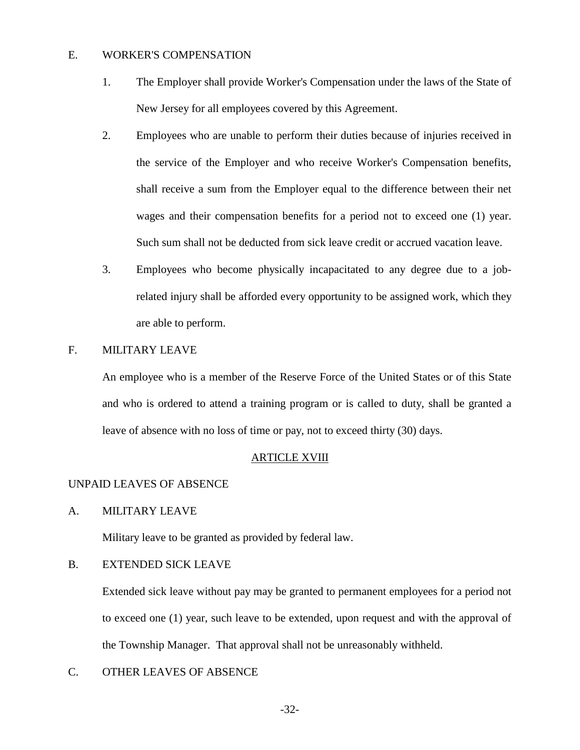# E. WORKER'S COMPENSATION

- 1. The Employer shall provide Worker's Compensation under the laws of the State of New Jersey for all employees covered by this Agreement.
- 2. Employees who are unable to perform their duties because of injuries received in the service of the Employer and who receive Worker's Compensation benefits, shall receive a sum from the Employer equal to the difference between their net wages and their compensation benefits for a period not to exceed one (1) year. Such sum shall not be deducted from sick leave credit or accrued vacation leave.
- 3. Employees who become physically incapacitated to any degree due to a jobrelated injury shall be afforded every opportunity to be assigned work, which they are able to perform.

# F. MILITARY LEAVE

 An employee who is a member of the Reserve Force of the United States or of this State and who is ordered to attend a training program or is called to duty, shall be granted a leave of absence with no loss of time or pay, not to exceed thirty (30) days.

## ARTICLE XVIII

# UNPAID LEAVES OF ABSENCE

A. MILITARY LEAVE

Military leave to be granted as provided by federal law.

# B. EXTENDED SICK LEAVE

 Extended sick leave without pay may be granted to permanent employees for a period not to exceed one (1) year, such leave to be extended, upon request and with the approval of the Township Manager. That approval shall not be unreasonably withheld.

C. OTHER LEAVES OF ABSENCE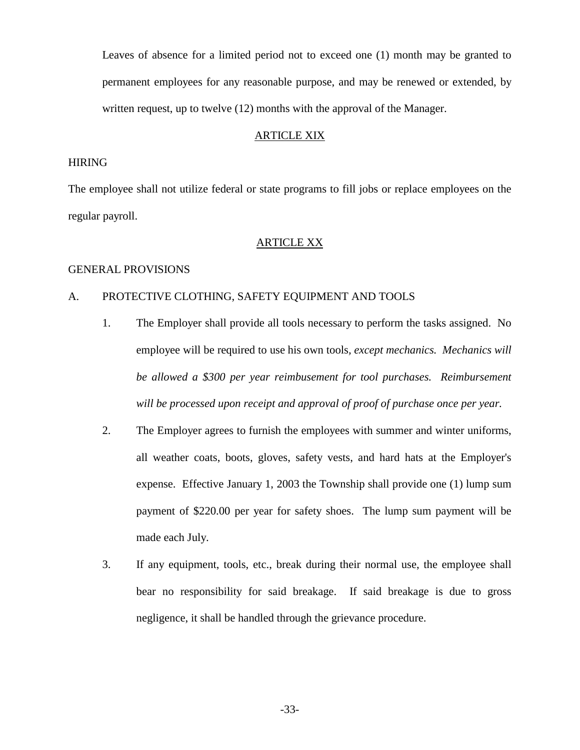Leaves of absence for a limited period not to exceed one (1) month may be granted to permanent employees for any reasonable purpose, and may be renewed or extended, by written request, up to twelve (12) months with the approval of the Manager.

# ARTICLE XIX

# HIRING

The employee shall not utilize federal or state programs to fill jobs or replace employees on the regular payroll.

## ARTICLE XX

#### GENERAL PROVISIONS

# A. PROTECTIVE CLOTHING, SAFETY EQUIPMENT AND TOOLS

- 1. The Employer shall provide all tools necessary to perform the tasks assigned. No employee will be required to use his own tools*, except mechanics. Mechanics will be allowed a \$300 per year reimbusement for tool purchases. Reimbursement will be processed upon receipt and approval of proof of purchase once per year.*
- 2. The Employer agrees to furnish the employees with summer and winter uniforms, all weather coats, boots, gloves, safety vests, and hard hats at the Employer's expense. Effective January 1, 2003 the Township shall provide one (1) lump sum payment of \$220.00 per year for safety shoes. The lump sum payment will be made each July.
- 3. If any equipment, tools, etc., break during their normal use, the employee shall bear no responsibility for said breakage. If said breakage is due to gross negligence, it shall be handled through the grievance procedure.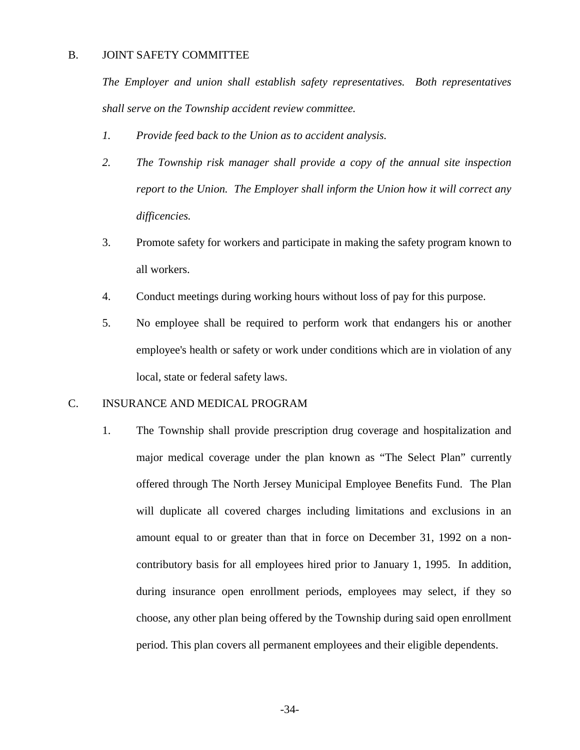# B. JOINT SAFETY COMMITTEE

*The Employer and union shall establish safety representatives. Both representatives shall serve on the Township accident review committee.* 

- *1. Provide feed back to the Union as to accident analysis.*
- *2. The Township risk manager shall provide a copy of the annual site inspection report to the Union. The Employer shall inform the Union how it will correct any difficencies.*
- 3. Promote safety for workers and participate in making the safety program known to all workers.
- 4. Conduct meetings during working hours without loss of pay for this purpose.
- 5. No employee shall be required to perform work that endangers his or another employee's health or safety or work under conditions which are in violation of any local, state or federal safety laws.

# C. INSURANCE AND MEDICAL PROGRAM

1. The Township shall provide prescription drug coverage and hospitalization and major medical coverage under the plan known as "The Select Plan" currently offered through The North Jersey Municipal Employee Benefits Fund. The Plan will duplicate all covered charges including limitations and exclusions in an amount equal to or greater than that in force on December 31, 1992 on a noncontributory basis for all employees hired prior to January 1, 1995. In addition, during insurance open enrollment periods, employees may select, if they so choose, any other plan being offered by the Township during said open enrollment period. This plan covers all permanent employees and their eligible dependents.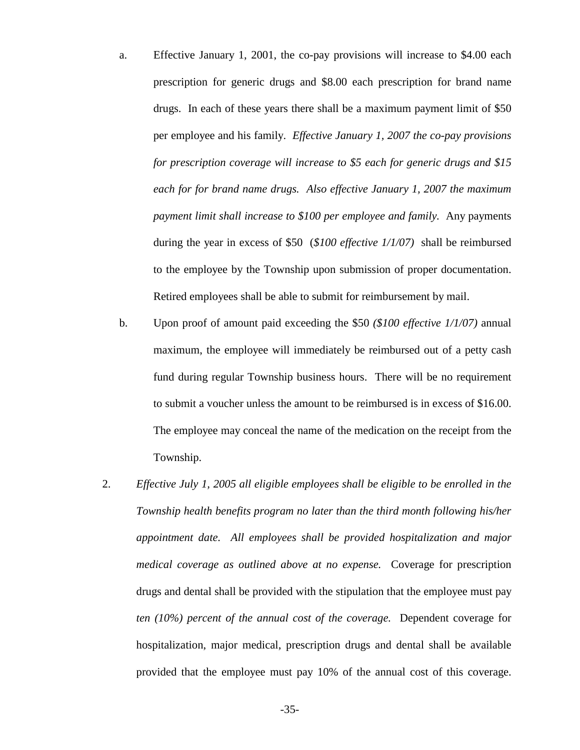- a. Effective January 1, 2001, the co-pay provisions will increase to \$4.00 each prescription for generic drugs and \$8.00 each prescription for brand name drugs. In each of these years there shall be a maximum payment limit of \$50 per employee and his family. *Effective January 1, 2007 the co-pay provisions for prescription coverage will increase to \$5 each for generic drugs and \$15 each for for brand name drugs. Also effective January 1, 2007 the maximum payment limit shall increase to \$100 per employee and family.* Any payments during the year in excess of \$50 (*\$100 effective 1/1/07)* shall be reimbursed to the employee by the Township upon submission of proper documentation. Retired employees shall be able to submit for reimbursement by mail.
- b. Upon proof of amount paid exceeding the \$50 *(\$100 effective 1/1/07)* annual maximum, the employee will immediately be reimbursed out of a petty cash fund during regular Township business hours. There will be no requirement to submit a voucher unless the amount to be reimbursed is in excess of \$16.00. The employee may conceal the name of the medication on the receipt from the Township.
- 2. *Effective July 1, 2005 all eligible employees shall be eligible to be enrolled in the Township health benefits program no later than the third month following his/her appointment date. All employees shall be provided hospitalization and major medical coverage as outlined above at no expense.* Coverage for prescription drugs and dental shall be provided with the stipulation that the employee must pay *ten (10%) percent of the annual cost of the coverage.* Dependent coverage for hospitalization, major medical, prescription drugs and dental shall be available provided that the employee must pay 10% of the annual cost of this coverage.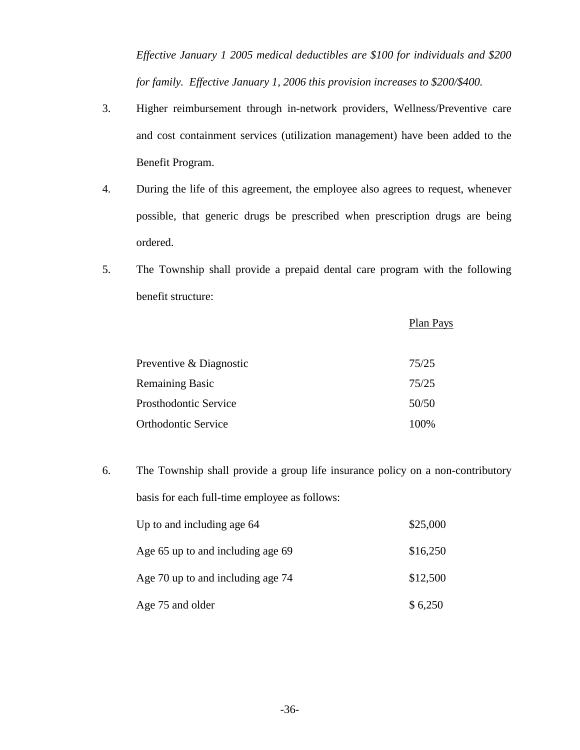*Effective January 1 2005 medical deductibles are \$100 for individuals and \$200 for family. Effective January 1, 2006 this provision increases to \$200/\$400.* 

- 3. Higher reimbursement through in-network providers, Wellness/Preventive care and cost containment services (utilization management) have been added to the Benefit Program.
- 4. During the life of this agreement, the employee also agrees to request, whenever possible, that generic drugs be prescribed when prescription drugs are being ordered.
- 5. The Township shall provide a prepaid dental care program with the following benefit structure:

|                            | Plan Pays |
|----------------------------|-----------|
| Preventive & Diagnostic    | 75/25     |
| <b>Remaining Basic</b>     | 75/25     |
| Prosthodontic Service      | 50/50     |
| <b>Orthodontic Service</b> | 100%      |

6. The Township shall provide a group life insurance policy on a non-contributory basis for each full-time employee as follows: Up to and including age  $64$  \$25,000 Age  $65$  up to and including age  $69$  \$16,250

| $T_{\rm LSC}$ 0. ap to and increding age 0. | $V1U2U0$ |
|---------------------------------------------|----------|
| Age 70 up to and including age 74           | \$12,500 |
| Age 75 and older                            | \$6,250  |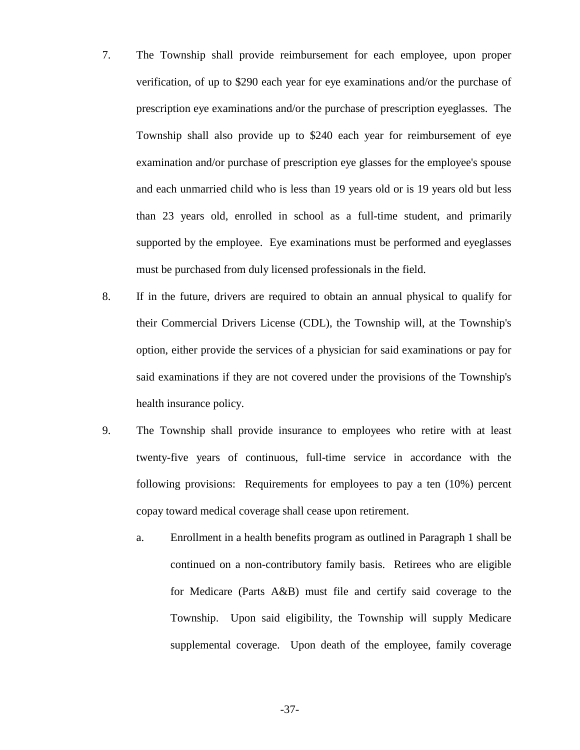- 7. The Township shall provide reimbursement for each employee, upon proper verification, of up to \$290 each year for eye examinations and/or the purchase of prescription eye examinations and/or the purchase of prescription eyeglasses. The Township shall also provide up to \$240 each year for reimbursement of eye examination and/or purchase of prescription eye glasses for the employee's spouse and each unmarried child who is less than 19 years old or is 19 years old but less than 23 years old, enrolled in school as a full-time student, and primarily supported by the employee. Eye examinations must be performed and eyeglasses must be purchased from duly licensed professionals in the field.
- 8. If in the future, drivers are required to obtain an annual physical to qualify for their Commercial Drivers License (CDL), the Township will, at the Township's option, either provide the services of a physician for said examinations or pay for said examinations if they are not covered under the provisions of the Township's health insurance policy.
- 9. The Township shall provide insurance to employees who retire with at least twenty-five years of continuous, full-time service in accordance with the following provisions: Requirements for employees to pay a ten (10%) percent copay toward medical coverage shall cease upon retirement.
	- a. Enrollment in a health benefits program as outlined in Paragraph 1 shall be continued on a non-contributory family basis. Retirees who are eligible for Medicare (Parts A&B) must file and certify said coverage to the Township. Upon said eligibility, the Township will supply Medicare supplemental coverage. Upon death of the employee, family coverage

-37-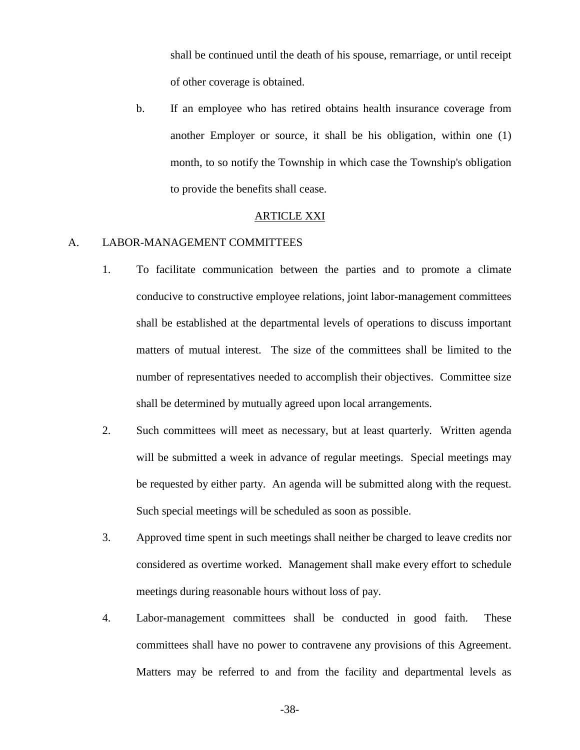shall be continued until the death of his spouse, remarriage, or until receipt of other coverage is obtained.

b. If an employee who has retired obtains health insurance coverage from another Employer or source, it shall be his obligation, within one (1) month, to so notify the Township in which case the Township's obligation to provide the benefits shall cease.

#### ARTICLE XXI

#### A. LABOR-MANAGEMENT COMMITTEES

- 1. To facilitate communication between the parties and to promote a climate conducive to constructive employee relations, joint labor-management committees shall be established at the departmental levels of operations to discuss important matters of mutual interest. The size of the committees shall be limited to the number of representatives needed to accomplish their objectives. Committee size shall be determined by mutually agreed upon local arrangements.
- 2. Such committees will meet as necessary, but at least quarterly. Written agenda will be submitted a week in advance of regular meetings. Special meetings may be requested by either party. An agenda will be submitted along with the request. Such special meetings will be scheduled as soon as possible.
- 3. Approved time spent in such meetings shall neither be charged to leave credits nor considered as overtime worked. Management shall make every effort to schedule meetings during reasonable hours without loss of pay.
- 4. Labor-management committees shall be conducted in good faith. These committees shall have no power to contravene any provisions of this Agreement. Matters may be referred to and from the facility and departmental levels as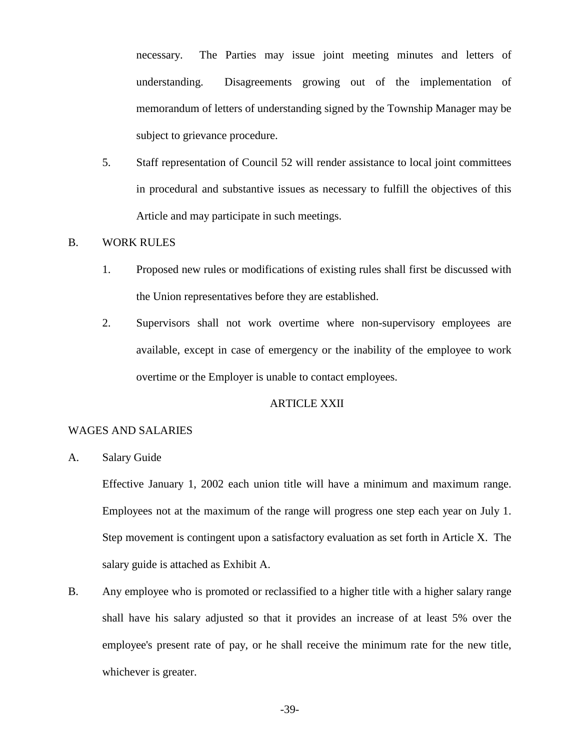necessary. The Parties may issue joint meeting minutes and letters of understanding. Disagreements growing out of the implementation of memorandum of letters of understanding signed by the Township Manager may be subject to grievance procedure.

5. Staff representation of Council 52 will render assistance to local joint committees in procedural and substantive issues as necessary to fulfill the objectives of this Article and may participate in such meetings.

## B. WORK RULES

- 1. Proposed new rules or modifications of existing rules shall first be discussed with the Union representatives before they are established.
- 2. Supervisors shall not work overtime where non-supervisory employees are available, except in case of emergency or the inability of the employee to work overtime or the Employer is unable to contact employees.

## ARTICLE XXII

#### WAGES AND SALARIES

A. Salary Guide

Effective January 1, 2002 each union title will have a minimum and maximum range. Employees not at the maximum of the range will progress one step each year on July 1. Step movement is contingent upon a satisfactory evaluation as set forth in Article X. The salary guide is attached as Exhibit A.

B. Any employee who is promoted or reclassified to a higher title with a higher salary range shall have his salary adjusted so that it provides an increase of at least 5% over the employee's present rate of pay, or he shall receive the minimum rate for the new title, whichever is greater.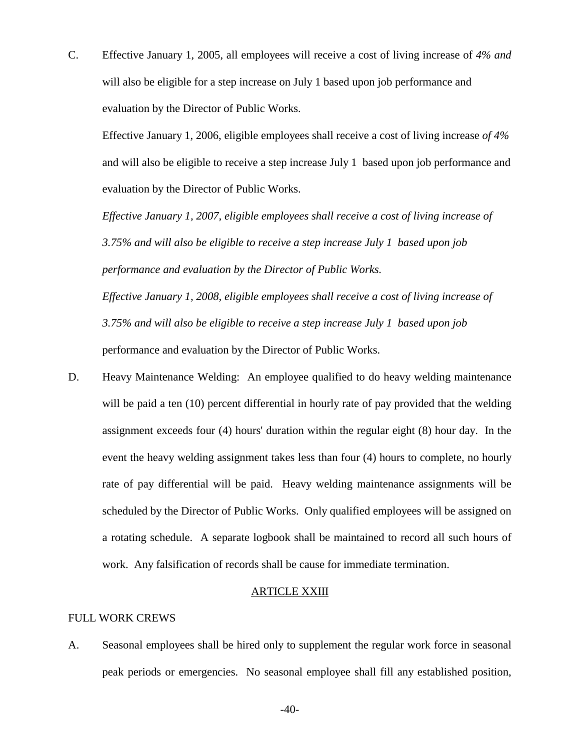C. Effective January 1, 2005, all employees will receive a cost of living increase of *4% and* will also be eligible for a step increase on July 1 based upon job performance and evaluation by the Director of Public Works.

Effective January 1, 2006, eligible employees shall receive a cost of living increase *of 4%* and will also be eligible to receive a step increase July 1 based upon job performance and evaluation by the Director of Public Works.

*Effective January 1, 2007, eligible employees shall receive a cost of living increase of 3.75% and will also be eligible to receive a step increase July 1 based upon job performance and evaluation by the Director of Public Works. Effective January 1, 2008, eligible employees shall receive a cost of living increase of* 

*3.75% and will also be eligible to receive a step increase July 1 based upon job*

performance and evaluation by the Director of Public Works.

D. Heavy Maintenance Welding: An employee qualified to do heavy welding maintenance will be paid a ten (10) percent differential in hourly rate of pay provided that the welding assignment exceeds four (4) hours' duration within the regular eight (8) hour day. In the event the heavy welding assignment takes less than four (4) hours to complete, no hourly rate of pay differential will be paid. Heavy welding maintenance assignments will be scheduled by the Director of Public Works. Only qualified employees will be assigned on a rotating schedule. A separate logbook shall be maintained to record all such hours of work. Any falsification of records shall be cause for immediate termination.

# ARTICLE XXIII

# FULL WORK CREWS

A. Seasonal employees shall be hired only to supplement the regular work force in seasonal peak periods or emergencies. No seasonal employee shall fill any established position,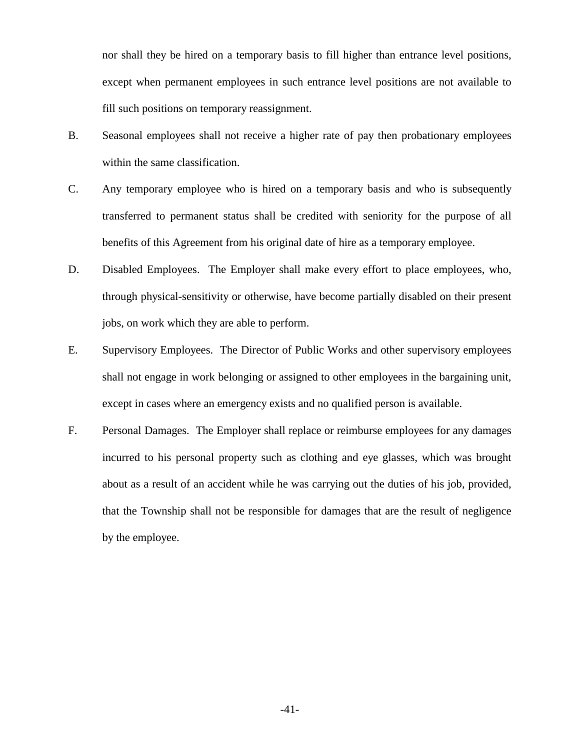nor shall they be hired on a temporary basis to fill higher than entrance level positions, except when permanent employees in such entrance level positions are not available to fill such positions on temporary reassignment.

- B. Seasonal employees shall not receive a higher rate of pay then probationary employees within the same classification.
- C. Any temporary employee who is hired on a temporary basis and who is subsequently transferred to permanent status shall be credited with seniority for the purpose of all benefits of this Agreement from his original date of hire as a temporary employee.
- D. Disabled Employees. The Employer shall make every effort to place employees, who, through physical-sensitivity or otherwise, have become partially disabled on their present jobs, on work which they are able to perform.
- E. Supervisory Employees. The Director of Public Works and other supervisory employees shall not engage in work belonging or assigned to other employees in the bargaining unit, except in cases where an emergency exists and no qualified person is available.
- F. Personal Damages. The Employer shall replace or reimburse employees for any damages incurred to his personal property such as clothing and eye glasses, which was brought about as a result of an accident while he was carrying out the duties of his job, provided, that the Township shall not be responsible for damages that are the result of negligence by the employee.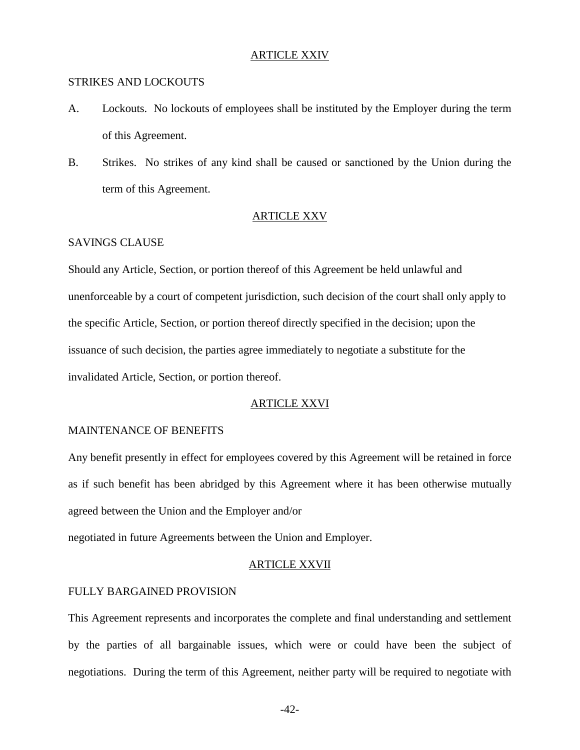#### ARTICLE XXIV

#### STRIKES AND LOCKOUTS

- A. Lockouts. No lockouts of employees shall be instituted by the Employer during the term of this Agreement.
- B. Strikes. No strikes of any kind shall be caused or sanctioned by the Union during the term of this Agreement.

# ARTICLE XXV

## SAVINGS CLAUSE

Should any Article, Section, or portion thereof of this Agreement be held unlawful and unenforceable by a court of competent jurisdiction, such decision of the court shall only apply to the specific Article, Section, or portion thereof directly specified in the decision; upon the issuance of such decision, the parties agree immediately to negotiate a substitute for the invalidated Article, Section, or portion thereof.

## ARTICLE XXVI

#### MAINTENANCE OF BENEFITS

Any benefit presently in effect for employees covered by this Agreement will be retained in force as if such benefit has been abridged by this Agreement where it has been otherwise mutually agreed between the Union and the Employer and/or

negotiated in future Agreements between the Union and Employer.

#### ARTICLE XXVII

## FULLY BARGAINED PROVISION

This Agreement represents and incorporates the complete and final understanding and settlement by the parties of all bargainable issues, which were or could have been the subject of negotiations. During the term of this Agreement, neither party will be required to negotiate with